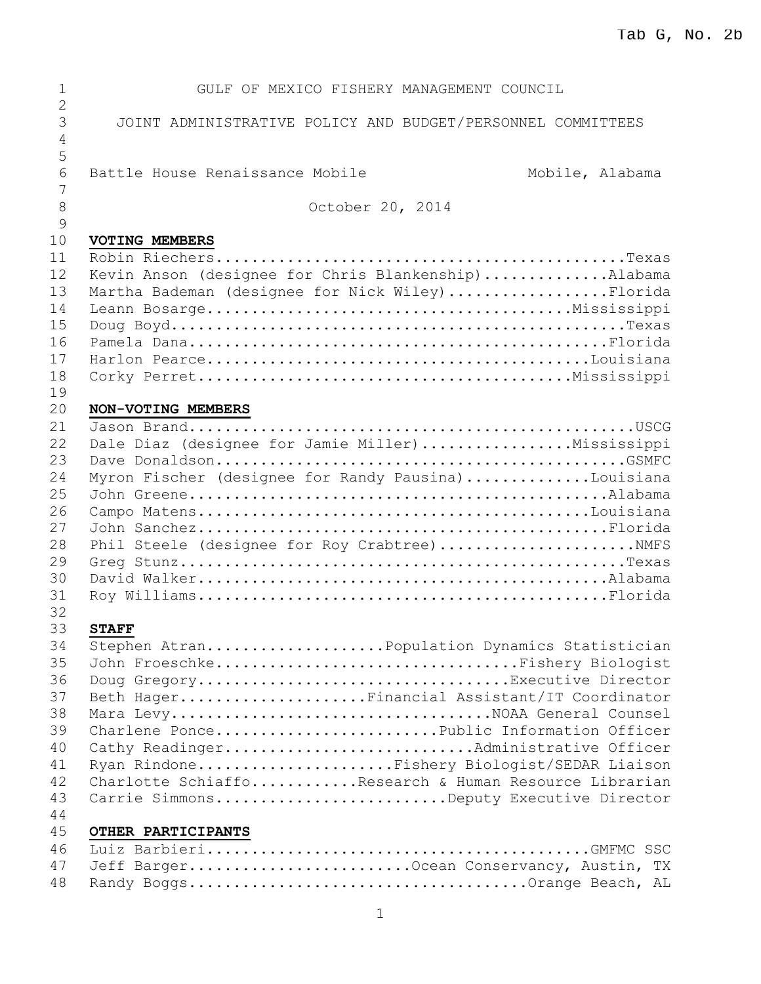| 1                        | GULF OF MEXICO FISHERY MANAGEMENT COUNCIL                                                              |
|--------------------------|--------------------------------------------------------------------------------------------------------|
| $\overline{2}$<br>3<br>4 | JOINT ADMINISTRATIVE POLICY AND BUDGET/PERSONNEL COMMITTEES                                            |
| 5<br>6<br>7              | Battle House Renaissance Mobile<br>Mobile, Alabama                                                     |
| 8<br>$\mathcal{G}$       | October 20, 2014                                                                                       |
| 10                       | VOTING MEMBERS                                                                                         |
| 11<br>12<br>13           | Kevin Anson (designee for Chris Blankenship)Alabama<br>Martha Bademan (designee for Nick Wiley)Florida |
| 14<br>15                 |                                                                                                        |
| 16<br>17<br>18           |                                                                                                        |
| 19                       |                                                                                                        |
| 20<br>21                 | NON-VOTING MEMBERS                                                                                     |
| 22                       | Dale Diaz (designee for Jamie Miller)Mississippi                                                       |
| 23                       |                                                                                                        |
| 24                       | Myron Fischer (designee for Randy Pausina)Louisiana                                                    |
| 25                       |                                                                                                        |
| 26                       |                                                                                                        |
| 27                       |                                                                                                        |
| 28                       | Phil Steele (designee for Roy Crabtree) NMFS                                                           |
| 29                       |                                                                                                        |
| 30                       |                                                                                                        |
| 31                       |                                                                                                        |
| 32<br>33                 | <b>STAFF</b>                                                                                           |
| 34                       | Stephen AtranPopulation Dynamics Statistician                                                          |
| 35                       | John FroeschkeFishery Biologist                                                                        |
| 36                       | Doug GregoryExecutive Director                                                                         |
| 37                       | Beth HagerFinancial Assistant/IT Coordinator                                                           |
| 38                       | Mara LevyNOAA General Counsel                                                                          |
| 39                       | Charlene PoncePublic Information Officer                                                               |
| 40                       | Cathy ReadingerAdministrative Officer                                                                  |
| 41                       | Ryan RindoneFishery Biologist/SEDAR Liaison                                                            |
| 42                       | Charlotte SchiaffoResearch & Human Resource Librarian                                                  |
| 43                       | Carrie SimmonsDeputy Executive Director                                                                |
| 44                       |                                                                                                        |
| 45<br>46                 | OTHER PARTICIPANTS                                                                                     |
| 47                       | Jeff BargerOcean Conservancy, Austin, TX                                                               |
| 48                       |                                                                                                        |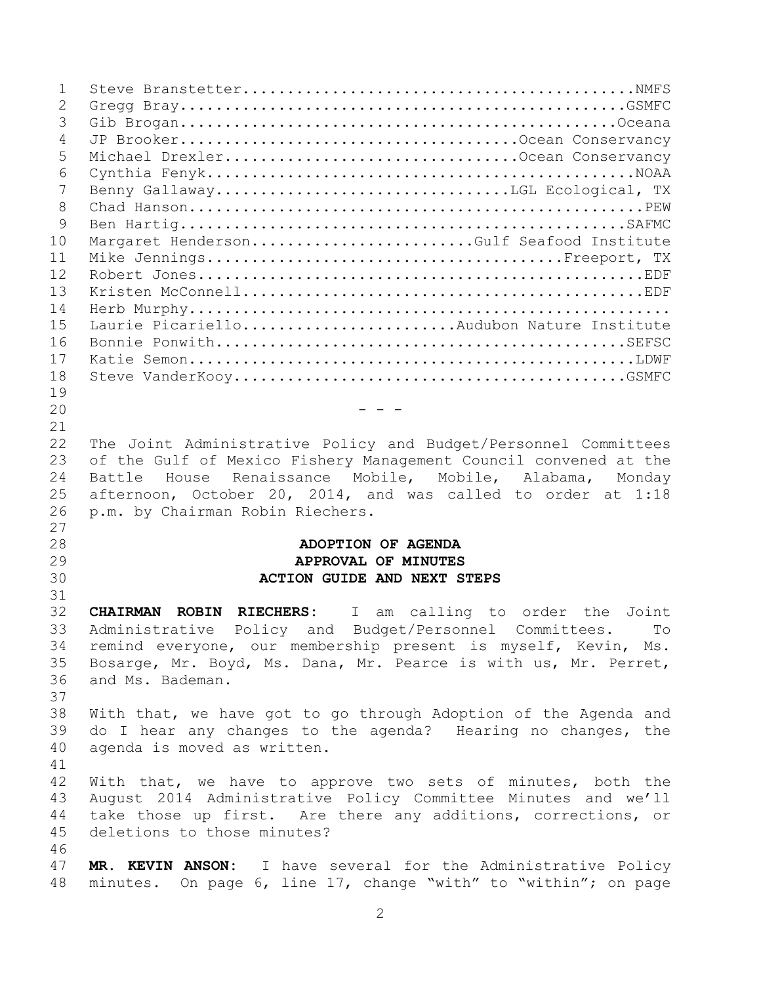| $\mathbf 1$    |                                                                    |
|----------------|--------------------------------------------------------------------|
| $\overline{2}$ |                                                                    |
| 3              |                                                                    |
| $\overline{4}$ |                                                                    |
| 5              | Michael DrexlerOcean Conservancy                                   |
| 6              |                                                                    |
| 7              |                                                                    |
| $\,8\,$        |                                                                    |
| 9              |                                                                    |
| 10             | Margaret HendersonGulf Seafood Institute                           |
| 11             |                                                                    |
| 12             |                                                                    |
| 13             |                                                                    |
| 14             |                                                                    |
| 15             | Laurie PicarielloAudubon Nature Institute                          |
| 16             |                                                                    |
| 17             |                                                                    |
| 18             |                                                                    |
| 19             |                                                                    |
| 20             |                                                                    |
| 21             |                                                                    |
| 22             | The Joint Administrative Policy and Budget/Personnel Committees    |
| 23             | of the Gulf of Mexico Fishery Management Council convened at the   |
| 24             | Battle House Renaissance Mobile, Mobile, Alabama,<br>Monday        |
| 25             | afternoon, October 20, 2014, and was called to order at 1:18       |
| 26             | p.m. by Chairman Robin Riechers.                                   |
| 27             |                                                                    |
| 28             | ADOPTION OF AGENDA                                                 |
| 29             | APPROVAL OF MINUTES                                                |
| 30             | <b>ACTION GUIDE AND NEXT STEPS</b>                                 |
| 31             |                                                                    |
| 32             | <b>CHAIRMAN ROBIN RIECHERS:</b><br>I am calling to order the Joint |
| 33             | Budget/Personnel Committees.<br>Administrative<br>Policy and<br>To |
| 34             | remind everyone, our membership present is myself, Kevin, Ms.      |
| 35             | Bosarge, Mr. Boyd, Ms. Dana, Mr. Pearce is with us, Mr. Perret,    |
| 36             | and Ms. Bademan.                                                   |
| 37             |                                                                    |
| 38             | With that, we have got to go through Adoption of the Agenda and    |
| 39             | do I hear any changes to the agenda? Hearing no changes, the       |
| 40             | agenda is moved as written.                                        |
| 41             |                                                                    |
| 42             | With that, we have to approve two sets of minutes, both the        |
| 43             | August 2014 Administrative Policy Committee Minutes and we'll      |
| 44             | take those up first. Are there any additions, corrections, or      |
| 45             | deletions to those minutes?                                        |
| 46             |                                                                    |
| 47             | MR. KEVIN ANSON: I have several for the Administrative Policy      |
| 48             | minutes. On page 6, line 17, change "with" to "within"; on page    |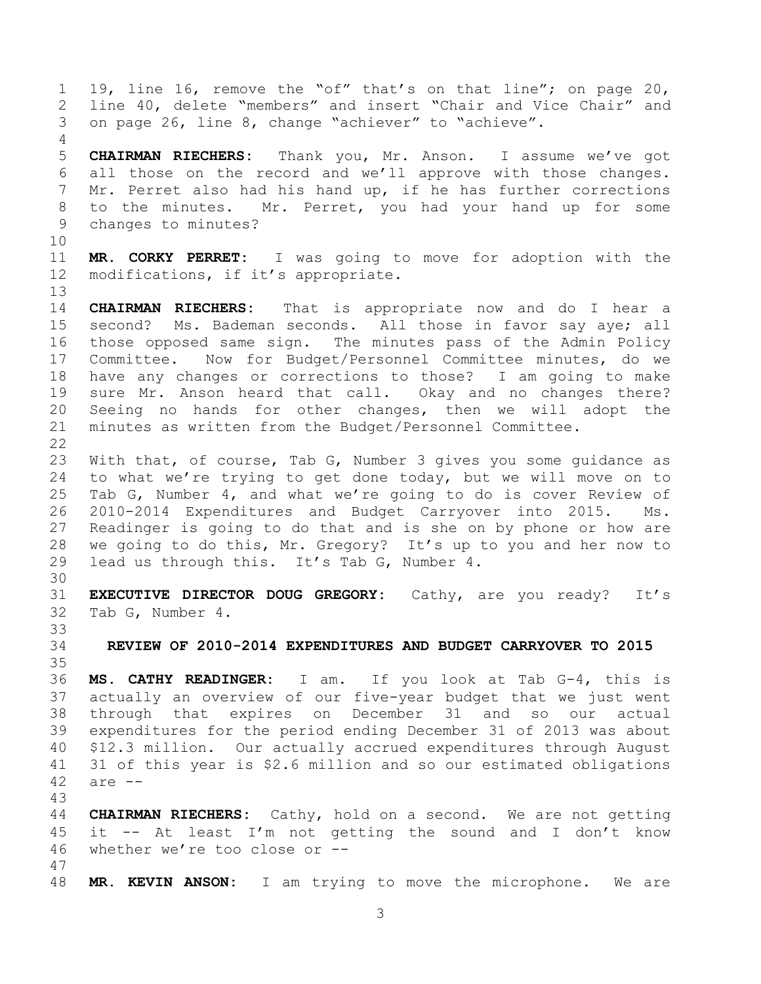19, line 16, remove the "of" that's on that line"; on page 20, line 40, delete "members" and insert "Chair and Vice Chair" and on page 26, line 8, change "achiever" to "achieve".

 **CHAIRMAN RIECHERS:** Thank you, Mr. Anson. I assume we've got all those on the record and we'll approve with those changes. Mr. Perret also had his hand up, if he has further corrections to the minutes. Mr. Perret, you had your hand up for some changes to minutes?

 **MR. CORKY PERRET:** I was going to move for adoption with the modifications, if it's appropriate.

 **CHAIRMAN RIECHERS:** That is appropriate now and do I hear a second? Ms. Bademan seconds. All those in favor say aye; all those opposed same sign. The minutes pass of the Admin Policy Committee. Now for Budget/Personnel Committee minutes, do we have any changes or corrections to those? I am going to make sure Mr. Anson heard that call. Okay and no changes there? Seeing no hands for other changes, then we will adopt the minutes as written from the Budget/Personnel Committee. 

 With that, of course, Tab G, Number 3 gives you some guidance as to what we're trying to get done today, but we will move on to Tab G, Number 4, and what we're going to do is cover Review of 2010-2014 Expenditures and Budget Carryover into 2015. Ms. Readinger is going to do that and is she on by phone or how are we going to do this, Mr. Gregory? It's up to you and her now to lead us through this. It's Tab G, Number 4.

 **EXECUTIVE DIRECTOR DOUG GREGORY:** Cathy, are you ready? It's Tab G, Number 4.

**REVIEW OF 2010-2014 EXPENDITURES AND BUDGET CARRYOVER TO 2015**

 **MS. CATHY READINGER:** I am. If you look at Tab G-4, this is actually an overview of our five-year budget that we just went through that expires on December 31 and so our actual expenditures for the period ending December 31 of 2013 was about \$12.3 million. Our actually accrued expenditures through August 31 of this year is \$2.6 million and so our estimated obligations are --

 **CHAIRMAN RIECHERS:** Cathy, hold on a second. We are not getting it -- At least I'm not getting the sound and I don't know whether we're too close or -- 

**MR. KEVIN ANSON:** I am trying to move the microphone. We are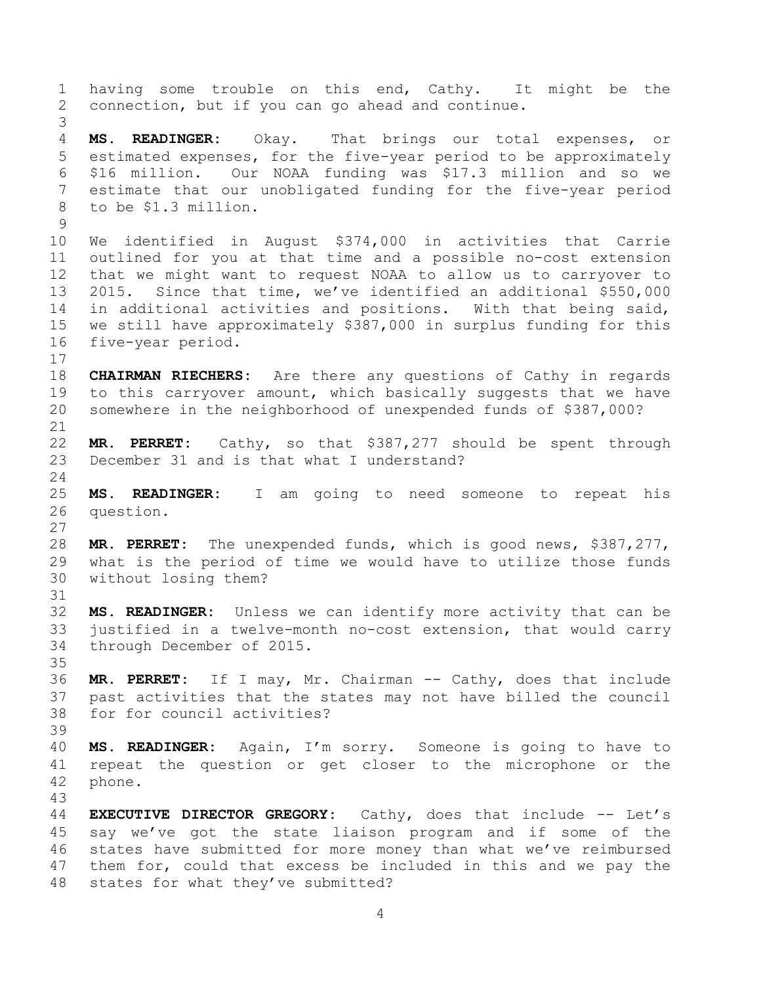having some trouble on this end, Cathy. It might be the connection, but if you can go ahead and continue. **MS. READINGER:** Okay. That brings our total expenses, or estimated expenses, for the five-year period to be approximately \$16 million. Our NOAA funding was \$17.3 million and so we estimate that our unobligated funding for the five-year period to be \$1.3 million. We identified in August \$374,000 in activities that Carrie outlined for you at that time and a possible no-cost extension that we might want to request NOAA to allow us to carryover to 2015. Since that time, we've identified an additional \$550,000 in additional activities and positions. With that being said, we still have approximately \$387,000 in surplus funding for this five-year period. **CHAIRMAN RIECHERS:** Are there any questions of Cathy in regards to this carryover amount, which basically suggests that we have somewhere in the neighborhood of unexpended funds of \$387,000? **MR. PERRET:** Cathy, so that \$387,277 should be spent through December 31 and is that what I understand? **MS. READINGER:** I am going to need someone to repeat his question. **MR. PERRET:** The unexpended funds, which is good news, \$387,277, what is the period of time we would have to utilize those funds without losing them? **MS. READINGER:** Unless we can identify more activity that can be justified in a twelve-month no-cost extension, that would carry through December of 2015. **MR. PERRET:** If I may, Mr. Chairman -- Cathy, does that include past activities that the states may not have billed the council for for council activities? **MS. READINGER:** Again, I'm sorry. Someone is going to have to repeat the question or get closer to the microphone or the phone. **EXECUTIVE DIRECTOR GREGORY:** Cathy, does that include -- Let's say we've got the state liaison program and if some of the states have submitted for more money than what we've reimbursed them for, could that excess be included in this and we pay the states for what they've submitted?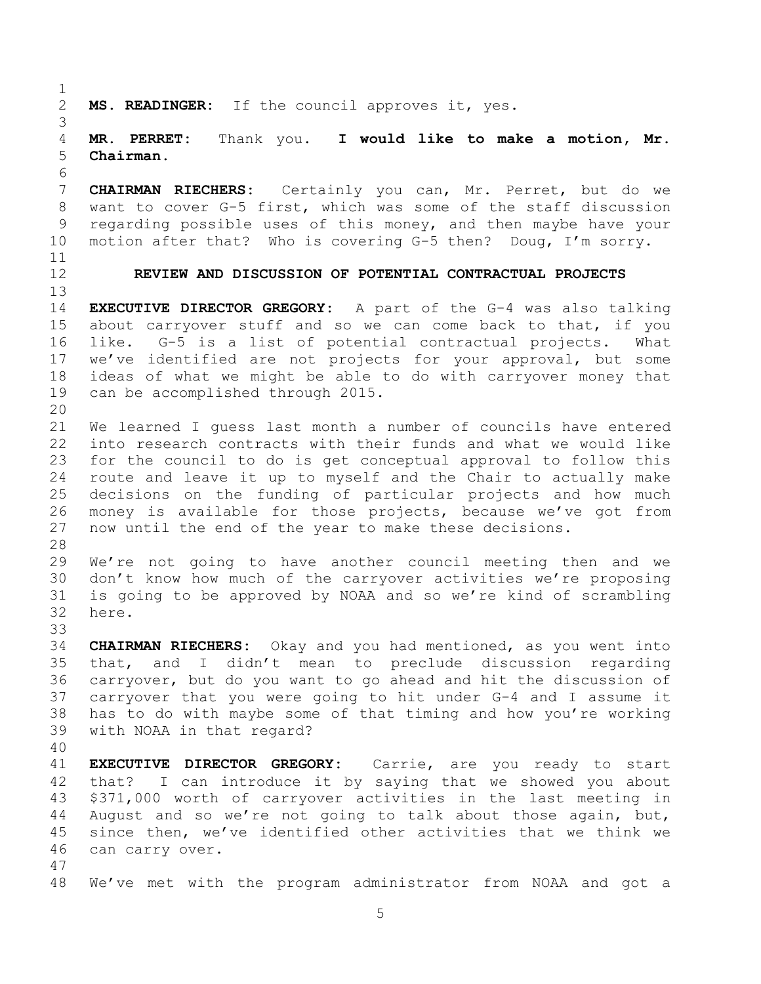**MS. READINGER:** If the council approves it, yes. **MR. PERRET:** Thank you. **I would like to make a motion, Mr. Chairman. CHAIRMAN RIECHERS:** Certainly you can, Mr. Perret, but do we want to cover G-5 first, which was some of the staff discussion regarding possible uses of this money, and then maybe have your motion after that? Who is covering G-5 then? Doug, I'm sorry. **REVIEW AND DISCUSSION OF POTENTIAL CONTRACTUAL PROJECTS EXECUTIVE DIRECTOR GREGORY:** A part of the G-4 was also talking about carryover stuff and so we can come back to that, if you like. G-5 is a list of potential contractual projects. What we've identified are not projects for your approval, but some ideas of what we might be able to do with carryover money that can be accomplished through 2015. We learned I guess last month a number of councils have entered into research contracts with their funds and what we would like for the council to do is get conceptual approval to follow this route and leave it up to myself and the Chair to actually make decisions on the funding of particular projects and how much money is available for those projects, because we've got from now until the end of the year to make these decisions. We're not going to have another council meeting then and we don't know how much of the carryover activities we're proposing is going to be approved by NOAA and so we're kind of scrambling here. **CHAIRMAN RIECHERS:** Okay and you had mentioned, as you went into that, and I didn't mean to preclude discussion regarding carryover, but do you want to go ahead and hit the discussion of carryover that you were going to hit under G-4 and I assume it has to do with maybe some of that timing and how you're working with NOAA in that regard? **EXECUTIVE DIRECTOR GREGORY:** Carrie, are you ready to start that? I can introduce it by saying that we showed you about \$371,000 worth of carryover activities in the last meeting in August and so we're not going to talk about those again, but, since then, we've identified other activities that we think we can carry over. We've met with the program administrator from NOAA and got a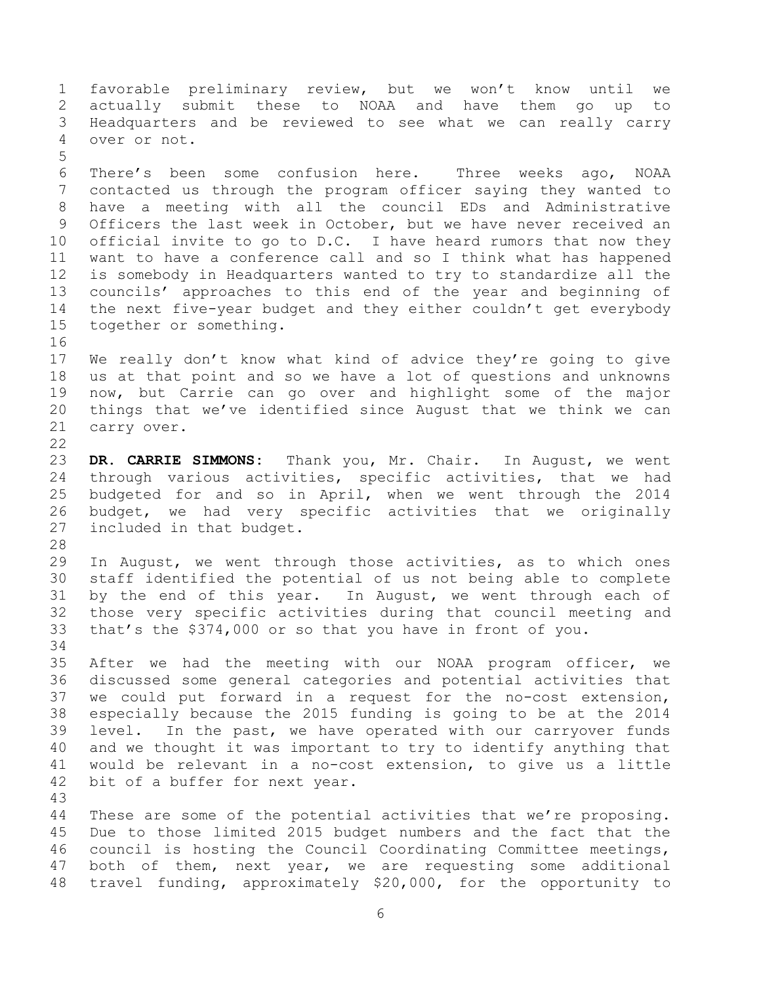favorable preliminary review, but we won't know until we actually submit these to NOAA and have them go up to Headquarters and be reviewed to see what we can really carry over or not. There's been some confusion here. Three weeks ago, NOAA contacted us through the program officer saying they wanted to have a meeting with all the council EDs and Administrative Officers the last week in October, but we have never received an official invite to go to D.C. I have heard rumors that now they want to have a conference call and so I think what has happened is somebody in Headquarters wanted to try to standardize all the councils' approaches to this end of the year and beginning of the next five-year budget and they either couldn't get everybody together or something. We really don't know what kind of advice they're going to give us at that point and so we have a lot of questions and unknowns now, but Carrie can go over and highlight some of the major things that we've identified since August that we think we can carry over. **DR. CARRIE SIMMONS:** Thank you, Mr. Chair. In August, we went through various activities, specific activities, that we had budgeted for and so in April, when we went through the 2014 budget, we had very specific activities that we originally included in that budget. In August, we went through those activities, as to which ones staff identified the potential of us not being able to complete by the end of this year. In August, we went through each of those very specific activities during that council meeting and that's the \$374,000 or so that you have in front of you. After we had the meeting with our NOAA program officer, we discussed some general categories and potential activities that we could put forward in a request for the no-cost extension, especially because the 2015 funding is going to be at the 2014 level. In the past, we have operated with our carryover funds and we thought it was important to try to identify anything that would be relevant in a no-cost extension, to give us a little bit of a buffer for next year. These are some of the potential activities that we're proposing. Due to those limited 2015 budget numbers and the fact that the council is hosting the Council Coordinating Committee meetings, both of them, next year, we are requesting some additional travel funding, approximately \$20,000, for the opportunity to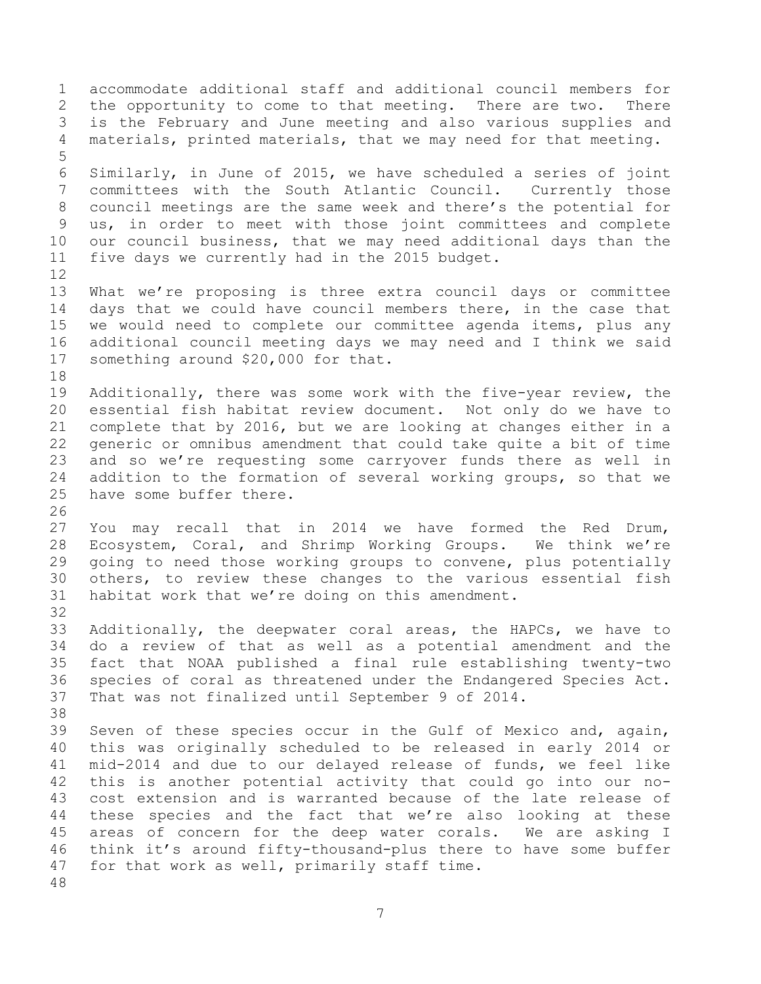accommodate additional staff and additional council members for the opportunity to come to that meeting. There are two. There is the February and June meeting and also various supplies and materials, printed materials, that we may need for that meeting. Similarly, in June of 2015, we have scheduled a series of joint committees with the South Atlantic Council. Currently those council meetings are the same week and there's the potential for us, in order to meet with those joint committees and complete our council business, that we may need additional days than the five days we currently had in the 2015 budget. What we're proposing is three extra council days or committee days that we could have council members there, in the case that we would need to complete our committee agenda items, plus any additional council meeting days we may need and I think we said something around \$20,000 for that. Additionally, there was some work with the five-year review, the essential fish habitat review document. Not only do we have to complete that by 2016, but we are looking at changes either in a generic or omnibus amendment that could take quite a bit of time and so we're requesting some carryover funds there as well in addition to the formation of several working groups, so that we have some buffer there. You may recall that in 2014 we have formed the Red Drum, Ecosystem, Coral, and Shrimp Working Groups. We think we're going to need those working groups to convene, plus potentially others, to review these changes to the various essential fish habitat work that we're doing on this amendment. Additionally, the deepwater coral areas, the HAPCs, we have to do a review of that as well as a potential amendment and the fact that NOAA published a final rule establishing twenty-two species of coral as threatened under the Endangered Species Act. That was not finalized until September 9 of 2014. Seven of these species occur in the Gulf of Mexico and, again, this was originally scheduled to be released in early 2014 or mid-2014 and due to our delayed release of funds, we feel like this is another potential activity that could go into our no- cost extension and is warranted because of the late release of these species and the fact that we're also looking at these areas of concern for the deep water corals. We are asking I think it's around fifty-thousand-plus there to have some buffer for that work as well, primarily staff time.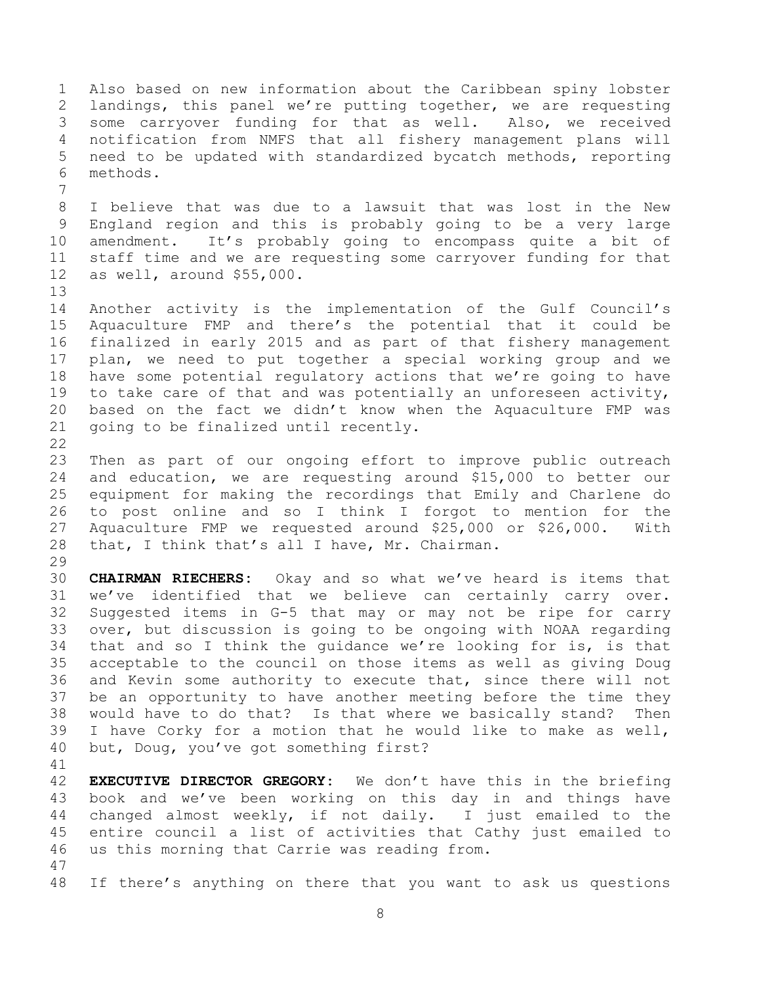Also based on new information about the Caribbean spiny lobster landings, this panel we're putting together, we are requesting some carryover funding for that as well. Also, we received notification from NMFS that all fishery management plans will need to be updated with standardized bycatch methods, reporting methods. I believe that was due to a lawsuit that was lost in the New England region and this is probably going to be a very large amendment. It's probably going to encompass quite a bit of staff time and we are requesting some carryover funding for that as well, around \$55,000. Another activity is the implementation of the Gulf Council's Aquaculture FMP and there's the potential that it could be finalized in early 2015 and as part of that fishery management plan, we need to put together a special working group and we have some potential regulatory actions that we're going to have to take care of that and was potentially an unforeseen activity, based on the fact we didn't know when the Aquaculture FMP was going to be finalized until recently. Then as part of our ongoing effort to improve public outreach and education, we are requesting around \$15,000 to better our equipment for making the recordings that Emily and Charlene do to post online and so I think I forgot to mention for the Aquaculture FMP we requested around \$25,000 or \$26,000. With that, I think that's all I have, Mr. Chairman. **CHAIRMAN RIECHERS:** Okay and so what we've heard is items that we've identified that we believe can certainly carry over. Suggested items in G-5 that may or may not be ripe for carry over, but discussion is going to be ongoing with NOAA regarding that and so I think the guidance we're looking for is, is that acceptable to the council on those items as well as giving Doug and Kevin some authority to execute that, since there will not be an opportunity to have another meeting before the time they would have to do that? Is that where we basically stand? Then I have Corky for a motion that he would like to make as well, but, Doug, you've got something first? **EXECUTIVE DIRECTOR GREGORY:** We don't have this in the briefing book and we've been working on this day in and things have changed almost weekly, if not daily. I just emailed to the entire council a list of activities that Cathy just emailed to us this morning that Carrie was reading from.

If there's anything on there that you want to ask us questions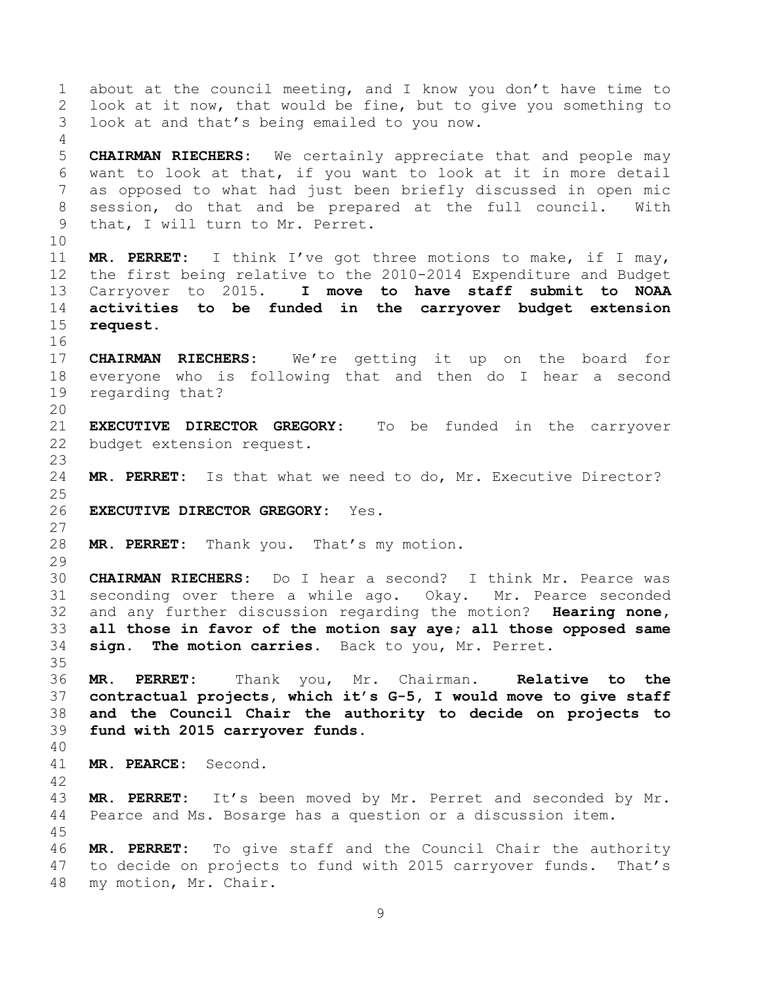about at the council meeting, and I know you don't have time to look at it now, that would be fine, but to give you something to look at and that's being emailed to you now. **CHAIRMAN RIECHERS:** We certainly appreciate that and people may want to look at that, if you want to look at it in more detail as opposed to what had just been briefly discussed in open mic session, do that and be prepared at the full council. With that, I will turn to Mr. Perret. **MR. PERRET:** I think I've got three motions to make, if I may, the first being relative to the 2010-2014 Expenditure and Budget Carryover to 2015. **I move to have staff submit to NOAA activities to be funded in the carryover budget extension request. CHAIRMAN RIECHERS:** We're getting it up on the board for everyone who is following that and then do I hear a second regarding that? **EXECUTIVE DIRECTOR GREGORY:** To be funded in the carryover budget extension request. **MR. PERRET:** Is that what we need to do, Mr. Executive Director? **EXECUTIVE DIRECTOR GREGORY:** Yes. **MR. PERRET:** Thank you. That's my motion. **CHAIRMAN RIECHERS:** Do I hear a second? I think Mr. Pearce was seconding over there a while ago. Okay. Mr. Pearce seconded and any further discussion regarding the motion? **Hearing none, all those in favor of the motion say aye; all those opposed same sign. The motion carries.** Back to you, Mr. Perret. **MR. PERRET:** Thank you, Mr. Chairman. **Relative to the contractual projects, which it's G-5, I would move to give staff and the Council Chair the authority to decide on projects to fund with 2015 carryover funds. MR. PEARCE:** Second. **MR. PERRET:** It's been moved by Mr. Perret and seconded by Mr. Pearce and Ms. Bosarge has a question or a discussion item. **MR. PERRET:** To give staff and the Council Chair the authority to decide on projects to fund with 2015 carryover funds. That's my motion, Mr. Chair.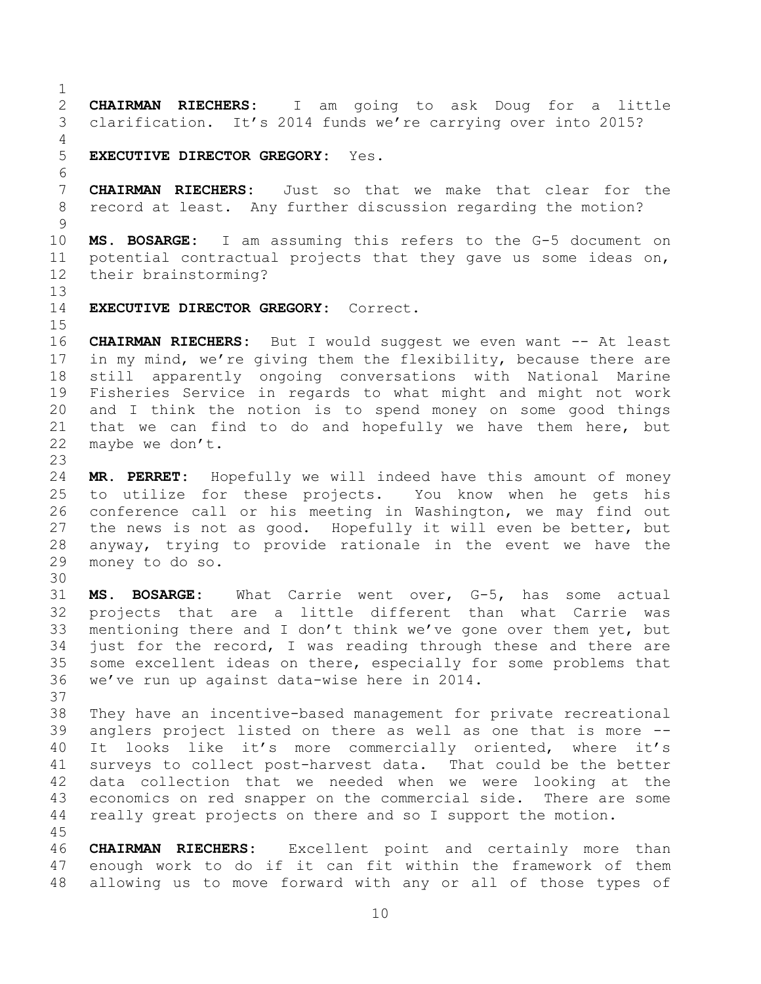**CHAIRMAN RIECHERS:** I am going to ask Doug for a little clarification. It's 2014 funds we're carrying over into 2015?

**EXECUTIVE DIRECTOR GREGORY:** Yes.

 **CHAIRMAN RIECHERS:** Just so that we make that clear for the record at least. Any further discussion regarding the motion?

 **MS. BOSARGE:** I am assuming this refers to the G-5 document on potential contractual projects that they gave us some ideas on, their brainstorming?

**EXECUTIVE DIRECTOR GREGORY:** Correct.

 **CHAIRMAN RIECHERS:** But I would suggest we even want -- At least 17 in my mind, we're giving them the flexibility, because there are still apparently ongoing conversations with National Marine Fisheries Service in regards to what might and might not work and I think the notion is to spend money on some good things that we can find to do and hopefully we have them here, but maybe we don't.

 **MR. PERRET:** Hopefully we will indeed have this amount of money to utilize for these projects. You know when he gets his conference call or his meeting in Washington, we may find out the news is not as good. Hopefully it will even be better, but anyway, trying to provide rationale in the event we have the money to do so.

 **MS. BOSARGE:** What Carrie went over, G-5, has some actual projects that are a little different than what Carrie was mentioning there and I don't think we've gone over them yet, but just for the record, I was reading through these and there are some excellent ideas on there, especially for some problems that we've run up against data-wise here in 2014.

 They have an incentive-based management for private recreational anglers project listed on there as well as one that is more -- It looks like it's more commercially oriented, where it's surveys to collect post-harvest data. That could be the better data collection that we needed when we were looking at the economics on red snapper on the commercial side. There are some really great projects on there and so I support the motion. 

 **CHAIRMAN RIECHERS:** Excellent point and certainly more than enough work to do if it can fit within the framework of them allowing us to move forward with any or all of those types of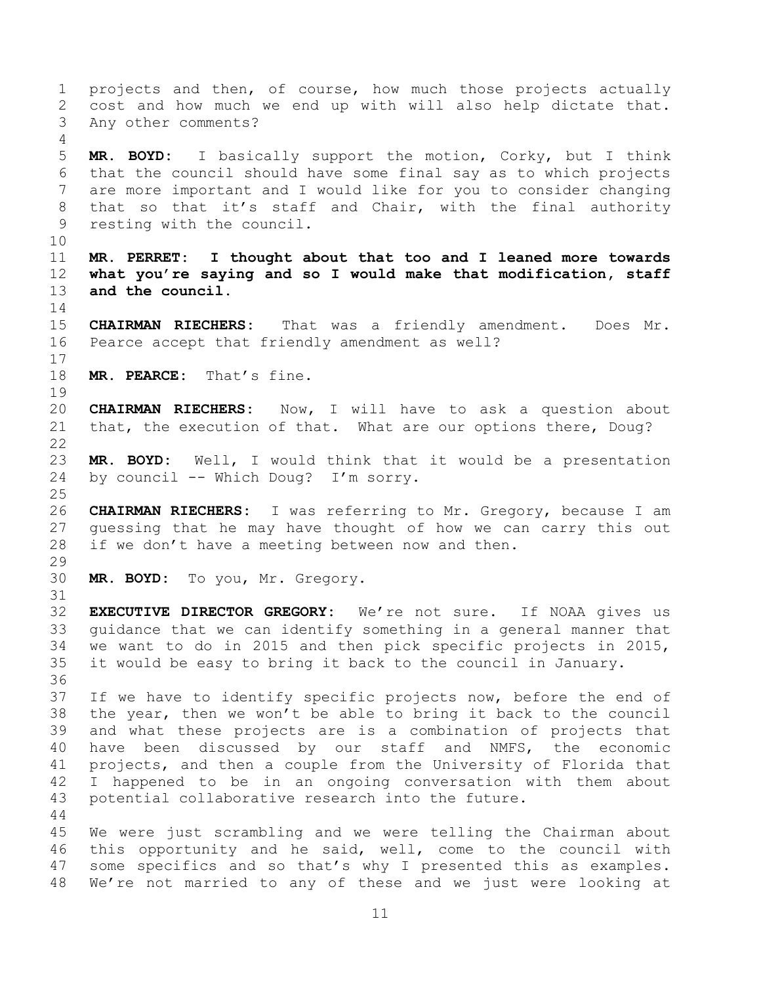projects and then, of course, how much those projects actually cost and how much we end up with will also help dictate that. Any other comments? **MR. BOYD:** I basically support the motion, Corky, but I think that the council should have some final say as to which projects are more important and I would like for you to consider changing 8 that so that it's staff and Chair, with the final authority resting with the council. **MR. PERRET: I thought about that too and I leaned more towards what you're saying and so I would make that modification, staff and the council. CHAIRMAN RIECHERS:** That was a friendly amendment. Does Mr. Pearce accept that friendly amendment as well? **MR. PEARCE:** That's fine. **CHAIRMAN RIECHERS:** Now, I will have to ask a question about that, the execution of that. What are our options there, Doug? **MR. BOYD:** Well, I would think that it would be a presentation by council -- Which Doug? I'm sorry. **CHAIRMAN RIECHERS:** I was referring to Mr. Gregory, because I am guessing that he may have thought of how we can carry this out if we don't have a meeting between now and then. **MR. BOYD:** To you, Mr. Gregory. **EXECUTIVE DIRECTOR GREGORY:** We're not sure. If NOAA gives us guidance that we can identify something in a general manner that we want to do in 2015 and then pick specific projects in 2015, it would be easy to bring it back to the council in January. If we have to identify specific projects now, before the end of the year, then we won't be able to bring it back to the council and what these projects are is a combination of projects that have been discussed by our staff and NMFS, the economic projects, and then a couple from the University of Florida that I happened to be in an ongoing conversation with them about potential collaborative research into the future. We were just scrambling and we were telling the Chairman about this opportunity and he said, well, come to the council with some specifics and so that's why I presented this as examples.

We're not married to any of these and we just were looking at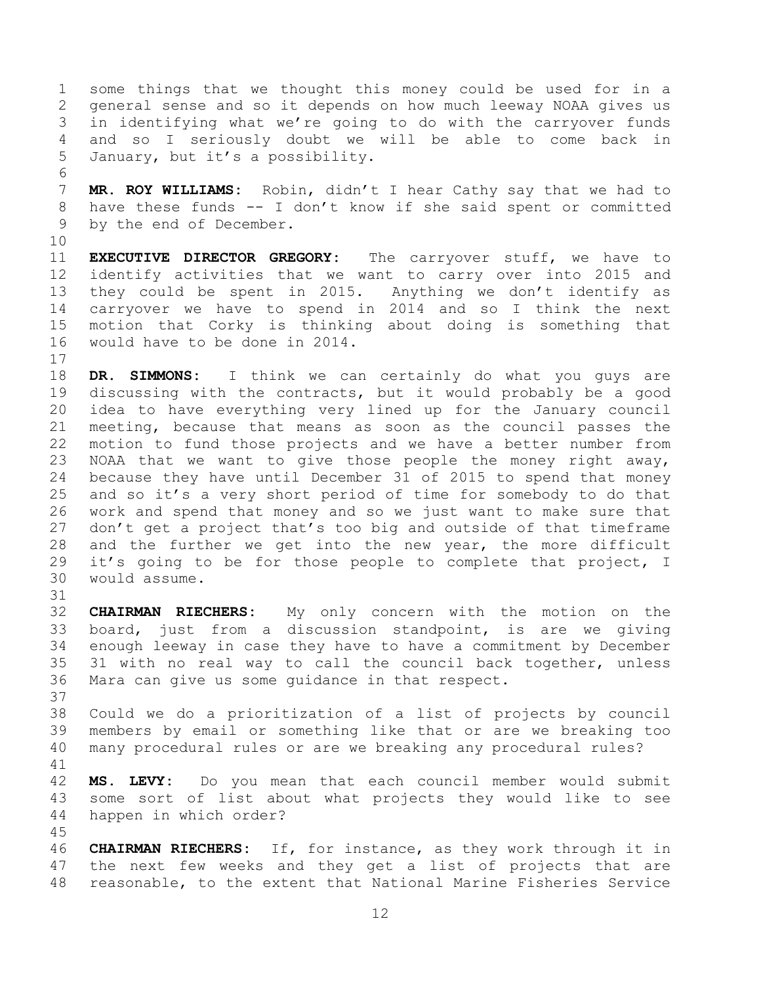some things that we thought this money could be used for in a general sense and so it depends on how much leeway NOAA gives us in identifying what we're going to do with the carryover funds and so I seriously doubt we will be able to come back in January, but it's a possibility.

 **MR. ROY WILLIAMS:** Robin, didn't I hear Cathy say that we had to have these funds -- I don't know if she said spent or committed by the end of December.

 **EXECUTIVE DIRECTOR GREGORY:** The carryover stuff, we have to identify activities that we want to carry over into 2015 and they could be spent in 2015. Anything we don't identify as carryover we have to spend in 2014 and so I think the next motion that Corky is thinking about doing is something that would have to be done in 2014.

 **DR. SIMMONS:** I think we can certainly do what you guys are discussing with the contracts, but it would probably be a good idea to have everything very lined up for the January council meeting, because that means as soon as the council passes the motion to fund those projects and we have a better number from NOAA that we want to give those people the money right away, because they have until December 31 of 2015 to spend that money and so it's a very short period of time for somebody to do that work and spend that money and so we just want to make sure that 27 don't get a project that's too big and outside of that timeframe and the further we get into the new year, the more difficult it's going to be for those people to complete that project, I would assume.

 **CHAIRMAN RIECHERS:** My only concern with the motion on the board, just from a discussion standpoint, is are we giving enough leeway in case they have to have a commitment by December 31 with no real way to call the council back together, unless Mara can give us some guidance in that respect.

 Could we do a prioritization of a list of projects by council members by email or something like that or are we breaking too many procedural rules or are we breaking any procedural rules?

 **MS. LEVY:** Do you mean that each council member would submit some sort of list about what projects they would like to see happen in which order? 

 **CHAIRMAN RIECHERS:** If, for instance, as they work through it in the next few weeks and they get a list of projects that are reasonable, to the extent that National Marine Fisheries Service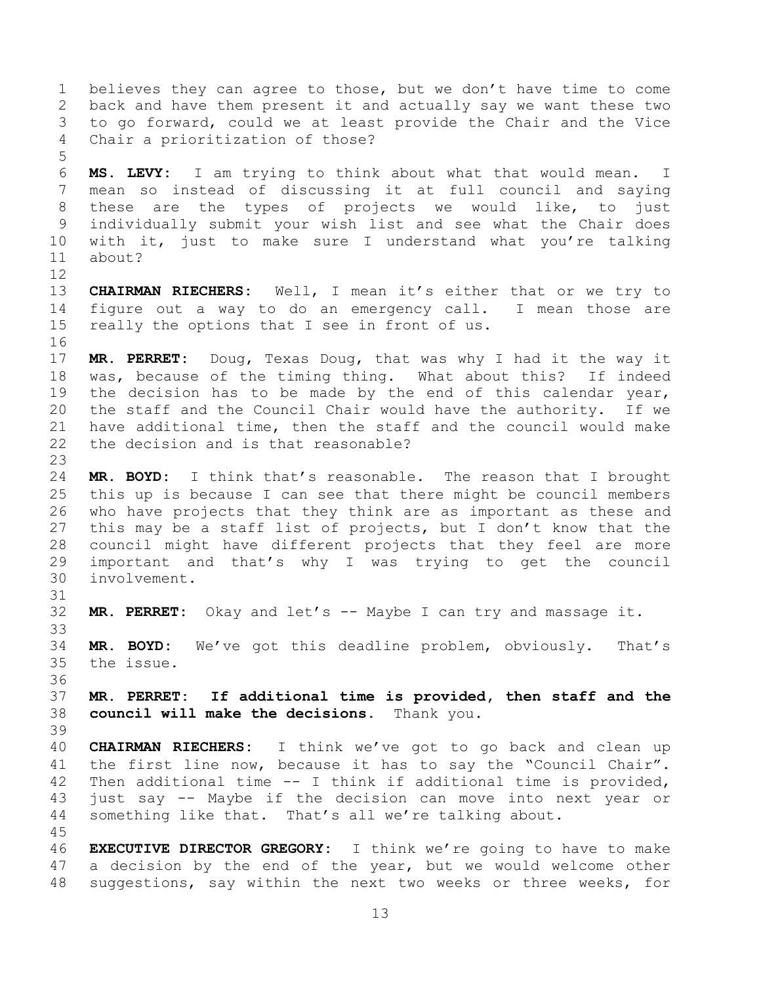back and have them present it and actually say we want these two to go forward, could we at least provide the Chair and the Vice Chair a prioritization of those? **MS. LEVY:** I am trying to think about what that would mean. I mean so instead of discussing it at full council and saying these are the types of projects we would like, to just individually submit your wish list and see what the Chair does with it, just to make sure I understand what you're talking about? **CHAIRMAN RIECHERS:** Well, I mean it's either that or we try to figure out a way to do an emergency call. I mean those are really the options that I see in front of us. **MR. PERRET:** Doug, Texas Doug, that was why I had it the way it was, because of the timing thing. What about this? If indeed the decision has to be made by the end of this calendar year, the staff and the Council Chair would have the authority. If we have additional time, then the staff and the council would make the decision and is that reasonable? **MR. BOYD:** I think that's reasonable. The reason that I brought this up is because I can see that there might be council members who have projects that they think are as important as these and this may be a staff list of projects, but I don't know that the council might have different projects that they feel are more important and that's why I was trying to get the council involvement. **MR. PERRET:** Okay and let's -- Maybe I can try and massage it. **MR. BOYD:** We've got this deadline problem, obviously. That's the issue. **MR. PERRET: If additional time is provided, then staff and the council will make the decisions.** Thank you. **CHAIRMAN RIECHERS:** I think we've got to go back and clean up the first line now, because it has to say the "Council Chair". Then additional time -- I think if additional time is provided, just say -- Maybe if the decision can move into next year or something like that. That's all we're talking about. **EXECUTIVE DIRECTOR GREGORY:** I think we're going to have to make a decision by the end of the year, but we would welcome other

believes they can agree to those, but we don't have time to come

suggestions, say within the next two weeks or three weeks, for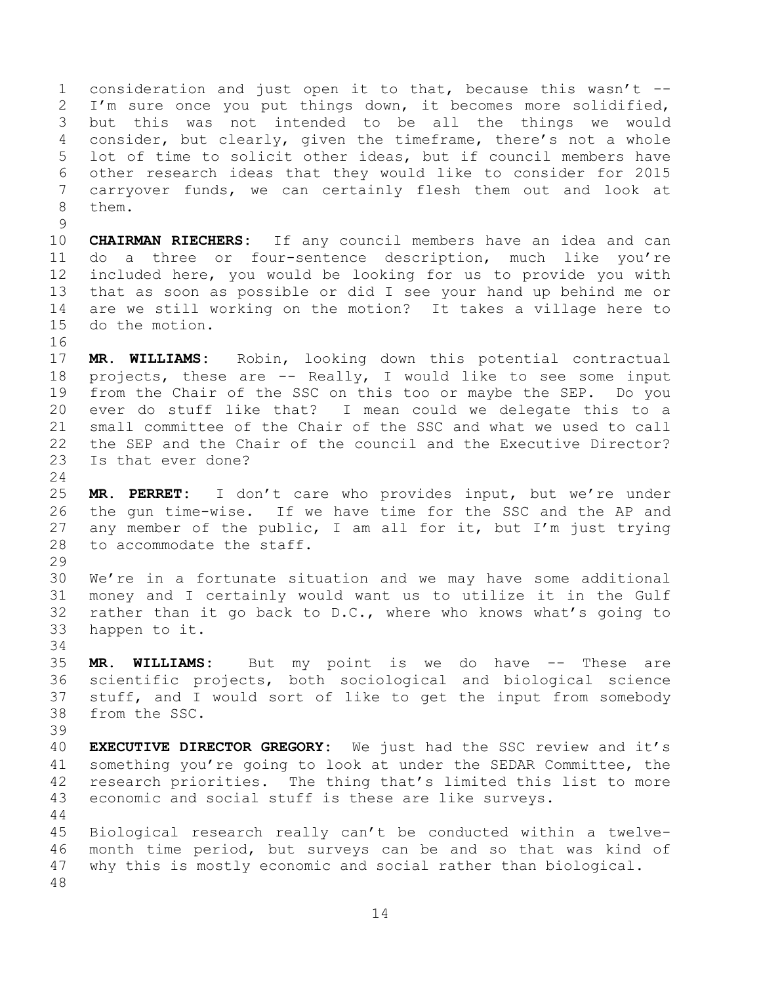consideration and just open it to that, because this wasn't -- I'm sure once you put things down, it becomes more solidified, but this was not intended to be all the things we would consider, but clearly, given the timeframe, there's not a whole lot of time to solicit other ideas, but if council members have other research ideas that they would like to consider for 2015 carryover funds, we can certainly flesh them out and look at them.

 **CHAIRMAN RIECHERS:** If any council members have an idea and can do a three or four-sentence description, much like you're included here, you would be looking for us to provide you with that as soon as possible or did I see your hand up behind me or are we still working on the motion? It takes a village here to do the motion.

 **MR. WILLIAMS:** Robin, looking down this potential contractual projects, these are -- Really, I would like to see some input from the Chair of the SSC on this too or maybe the SEP. Do you ever do stuff like that? I mean could we delegate this to a small committee of the Chair of the SSC and what we used to call the SEP and the Chair of the council and the Executive Director? Is that ever done?

 **MR. PERRET:** I don't care who provides input, but we're under the gun time-wise. If we have time for the SSC and the AP and any member of the public, I am all for it, but I'm just trying to accommodate the staff.

 We're in a fortunate situation and we may have some additional money and I certainly would want us to utilize it in the Gulf rather than it go back to D.C., where who knows what's going to happen to it.

 **MR. WILLIAMS:** But my point is we do have -- These are scientific projects, both sociological and biological science stuff, and I would sort of like to get the input from somebody from the SSC.

 **EXECUTIVE DIRECTOR GREGORY:** We just had the SSC review and it's something you're going to look at under the SEDAR Committee, the research priorities. The thing that's limited this list to more economic and social stuff is these are like surveys.

 Biological research really can't be conducted within a twelve- month time period, but surveys can be and so that was kind of why this is mostly economic and social rather than biological.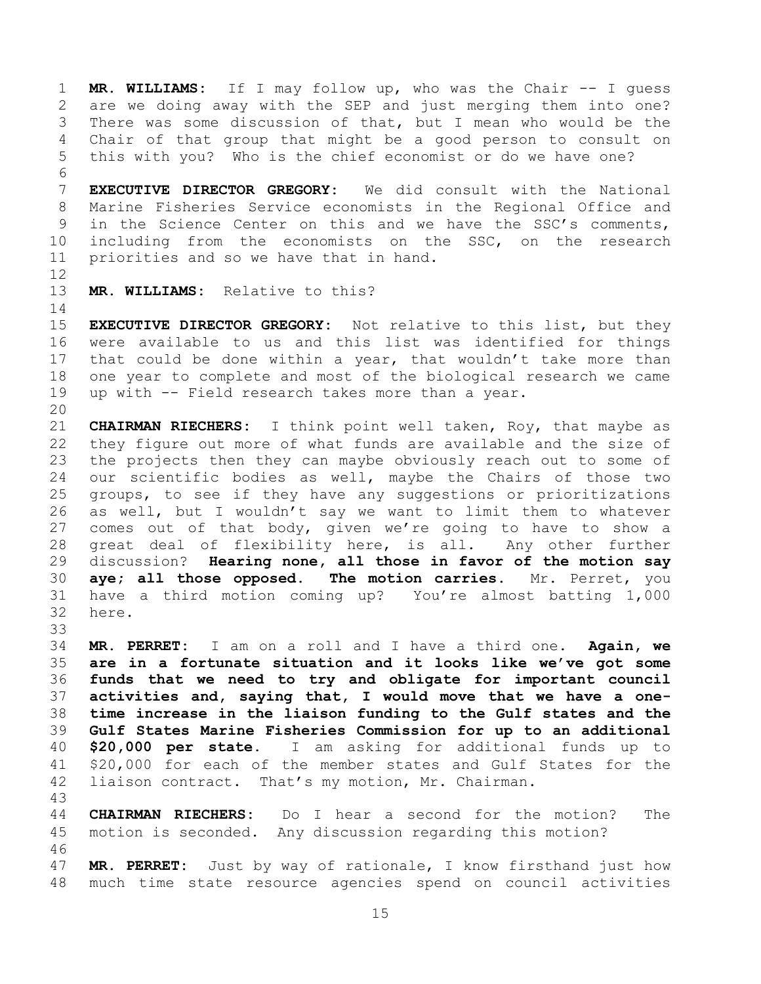**MR. WILLIAMS:** If I may follow up, who was the Chair -- I guess are we doing away with the SEP and just merging them into one? There was some discussion of that, but I mean who would be the Chair of that group that might be a good person to consult on this with you? Who is the chief economist or do we have one?

 **EXECUTIVE DIRECTOR GREGORY:** We did consult with the National Marine Fisheries Service economists in the Regional Office and in the Science Center on this and we have the SSC's comments, including from the economists on the SSC, on the research priorities and so we have that in hand.

**MR. WILLIAMS:** Relative to this?

 **EXECUTIVE DIRECTOR GREGORY:** Not relative to this list, but they were available to us and this list was identified for things that could be done within a year, that wouldn't take more than one year to complete and most of the biological research we came up with -- Field research takes more than a year.

 **CHAIRMAN RIECHERS:** I think point well taken, Roy, that maybe as they figure out more of what funds are available and the size of the projects then they can maybe obviously reach out to some of our scientific bodies as well, maybe the Chairs of those two groups, to see if they have any suggestions or prioritizations as well, but I wouldn't say we want to limit them to whatever comes out of that body, given we're going to have to show a great deal of flexibility here, is all. Any other further discussion? **Hearing none, all those in favor of the motion say aye; all those opposed. The motion carries.** Mr. Perret, you have a third motion coming up? You're almost batting 1,000 here.

 **MR. PERRET:** I am on a roll and I have a third one. **Again, we are in a fortunate situation and it looks like we've got some funds that we need to try and obligate for important council activities and, saying that, I would move that we have a one- time increase in the liaison funding to the Gulf states and the Gulf States Marine Fisheries Commission for up to an additional \$20,000 per state.** I am asking for additional funds up to \$20,000 for each of the member states and Gulf States for the liaison contract. That's my motion, Mr. Chairman.

 **CHAIRMAN RIECHERS:** Do I hear a second for the motion? The motion is seconded. Any discussion regarding this motion? 

 **MR. PERRET:** Just by way of rationale, I know firsthand just how much time state resource agencies spend on council activities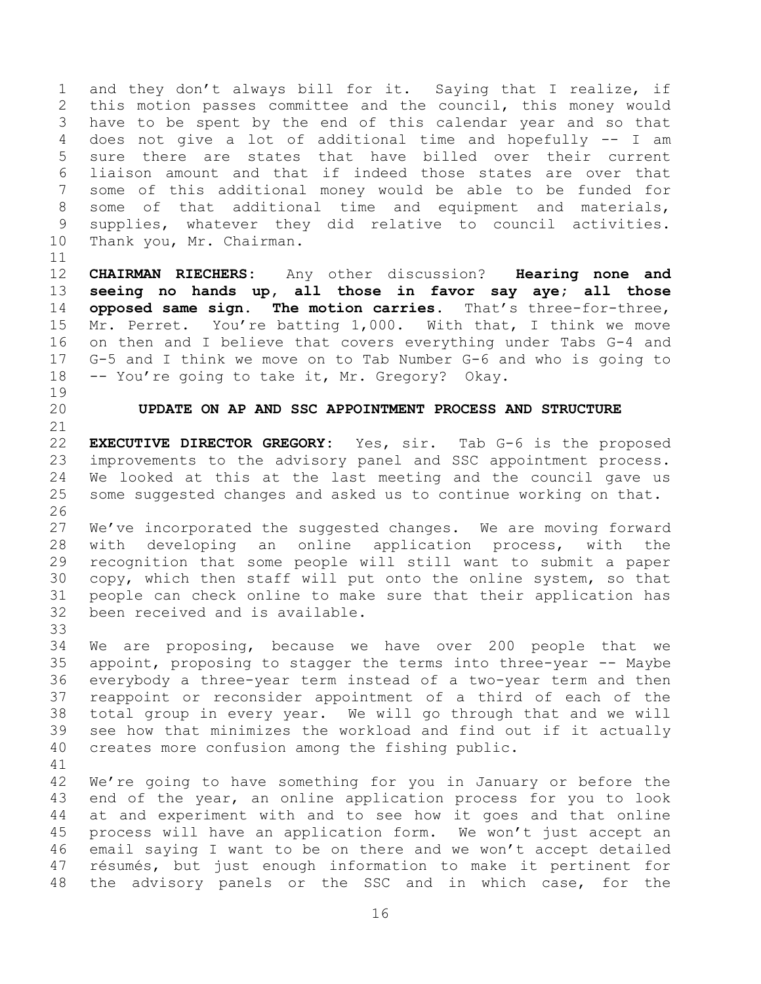and they don't always bill for it. Saying that I realize, if this motion passes committee and the council, this money would have to be spent by the end of this calendar year and so that does not give a lot of additional time and hopefully -- I am sure there are states that have billed over their current liaison amount and that if indeed those states are over that some of this additional money would be able to be funded for some of that additional time and equipment and materials, supplies, whatever they did relative to council activities. Thank you, Mr. Chairman.

 **CHAIRMAN RIECHERS:** Any other discussion? **Hearing none and seeing no hands up, all those in favor say aye; all those opposed same sign. The motion carries.** That's three-for-three, Mr. Perret. You're batting 1,000. With that, I think we move on then and I believe that covers everything under Tabs G-4 and G-5 and I think we move on to Tab Number G-6 and who is going to -- You're going to take it, Mr. Gregory? Okay.

## **UPDATE ON AP AND SSC APPOINTMENT PROCESS AND STRUCTURE**

 **EXECUTIVE DIRECTOR GREGORY:** Yes, sir. Tab G-6 is the proposed improvements to the advisory panel and SSC appointment process. We looked at this at the last meeting and the council gave us some suggested changes and asked us to continue working on that. 

 We've incorporated the suggested changes. We are moving forward with developing an online application process, with the recognition that some people will still want to submit a paper copy, which then staff will put onto the online system, so that people can check online to make sure that their application has been received and is available. 

 We are proposing, because we have over 200 people that we appoint, proposing to stagger the terms into three-year -- Maybe everybody a three-year term instead of a two-year term and then reappoint or reconsider appointment of a third of each of the total group in every year. We will go through that and we will see how that minimizes the workload and find out if it actually creates more confusion among the fishing public.

 We're going to have something for you in January or before the end of the year, an online application process for you to look at and experiment with and to see how it goes and that online process will have an application form. We won't just accept an email saying I want to be on there and we won't accept detailed résumés, but just enough information to make it pertinent for the advisory panels or the SSC and in which case, for the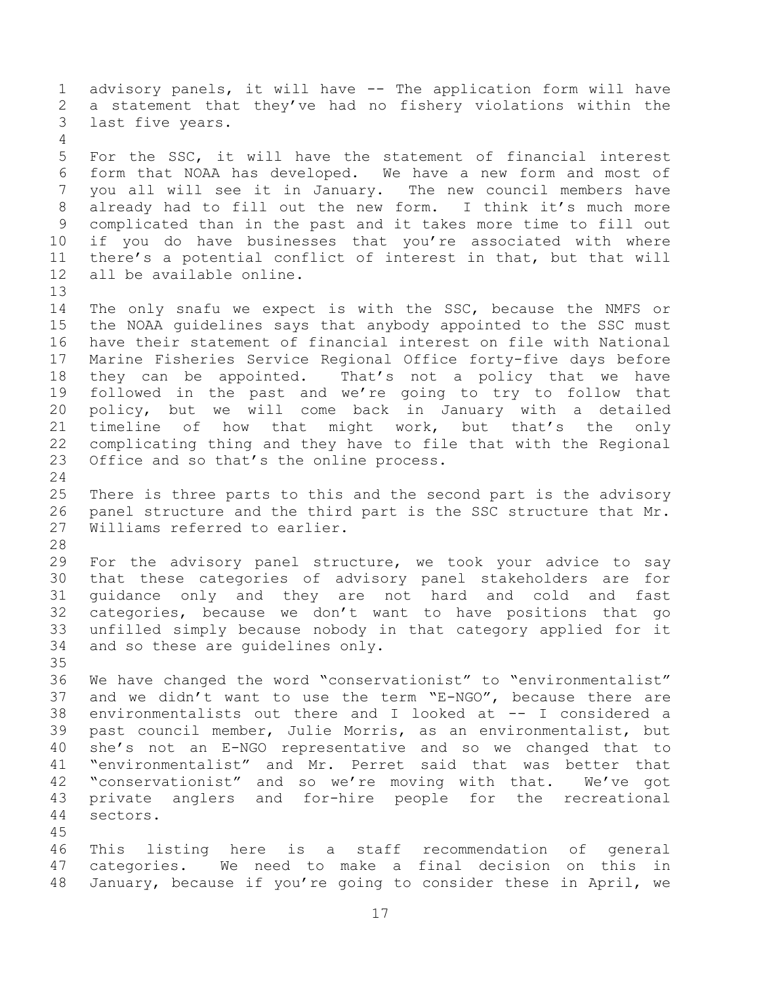advisory panels, it will have -- The application form will have a statement that they've had no fishery violations within the last five years. For the SSC, it will have the statement of financial interest form that NOAA has developed. We have a new form and most of you all will see it in January. The new council members have already had to fill out the new form. I think it's much more complicated than in the past and it takes more time to fill out if you do have businesses that you're associated with where there's a potential conflict of interest in that, but that will all be available online. The only snafu we expect is with the SSC, because the NMFS or the NOAA guidelines says that anybody appointed to the SSC must have their statement of financial interest on file with National Marine Fisheries Service Regional Office forty-five days before they can be appointed. That's not a policy that we have followed in the past and we're going to try to follow that policy, but we will come back in January with a detailed timeline of how that might work, but that's the only complicating thing and they have to file that with the Regional 23 Office and so that's the online process. There is three parts to this and the second part is the advisory panel structure and the third part is the SSC structure that Mr. Williams referred to earlier. For the advisory panel structure, we took your advice to say that these categories of advisory panel stakeholders are for guidance only and they are not hard and cold and fast categories, because we don't want to have positions that go unfilled simply because nobody in that category applied for it and so these are guidelines only. We have changed the word "conservationist" to "environmentalist" and we didn't want to use the term "E-NGO", because there are environmentalists out there and I looked at -- I considered a past council member, Julie Morris, as an environmentalist, but she's not an E-NGO representative and so we changed that to "environmentalist" and Mr. Perret said that was better that "conservationist" and so we're moving with that. We've got private anglers and for-hire people for the recreational sectors. This listing here is a staff recommendation of general categories. We need to make a final decision on this in January, because if you're going to consider these in April, we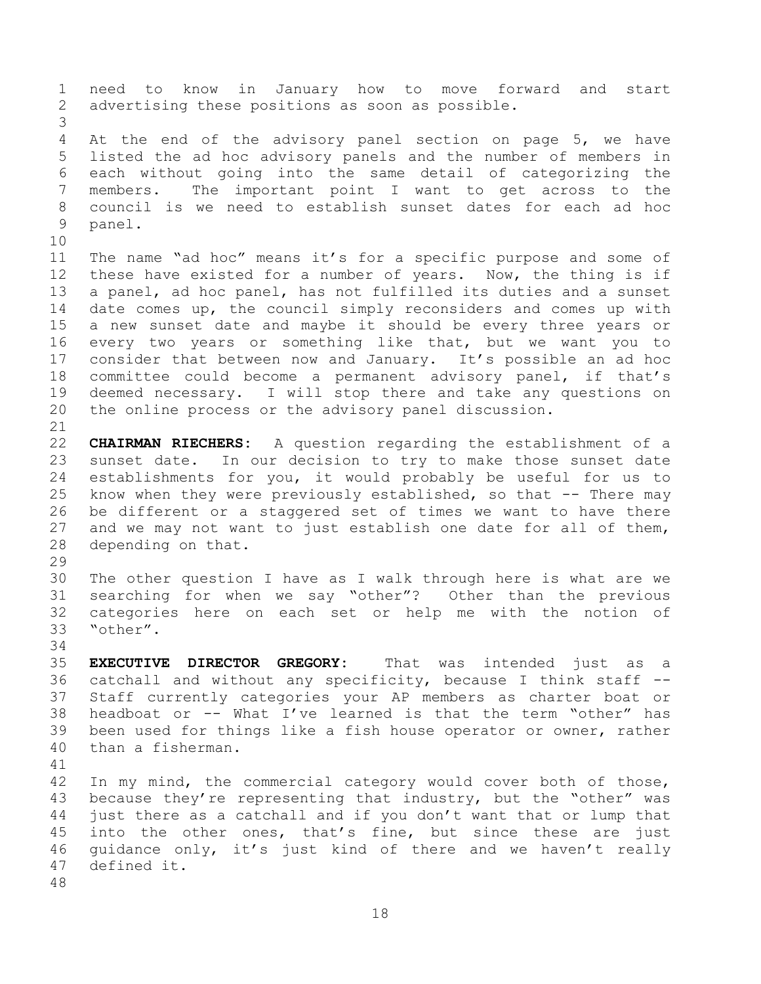need to know in January how to move forward and start advertising these positions as soon as possible. 4 At the end of the advisory panel section on page 5, we have listed the ad hoc advisory panels and the number of members in each without going into the same detail of categorizing the members. The important point I want to get across to the council is we need to establish sunset dates for each ad hoc panel. The name "ad hoc" means it's for a specific purpose and some of these have existed for a number of years. Now, the thing is if a panel, ad hoc panel, has not fulfilled its duties and a sunset date comes up, the council simply reconsiders and comes up with a new sunset date and maybe it should be every three years or every two years or something like that, but we want you to consider that between now and January. It's possible an ad hoc committee could become a permanent advisory panel, if that's deemed necessary. I will stop there and take any questions on the online process or the advisory panel discussion. **CHAIRMAN RIECHERS:** A question regarding the establishment of a sunset date. In our decision to try to make those sunset date establishments for you, it would probably be useful for us to know when they were previously established, so that -- There may be different or a staggered set of times we want to have there and we may not want to just establish one date for all of them, depending on that. The other question I have as I walk through here is what are we searching for when we say "other"? Other than the previous categories here on each set or help me with the notion of "other". **EXECUTIVE DIRECTOR GREGORY:** That was intended just as a catchall and without any specificity, because I think staff -- Staff currently categories your AP members as charter boat or headboat or -- What I've learned is that the term "other" has been used for things like a fish house operator or owner, rather than a fisherman. In my mind, the commercial category would cover both of those, because they're representing that industry, but the "other" was just there as a catchall and if you don't want that or lump that into the other ones, that's fine, but since these are just guidance only, it's just kind of there and we haven't really defined it.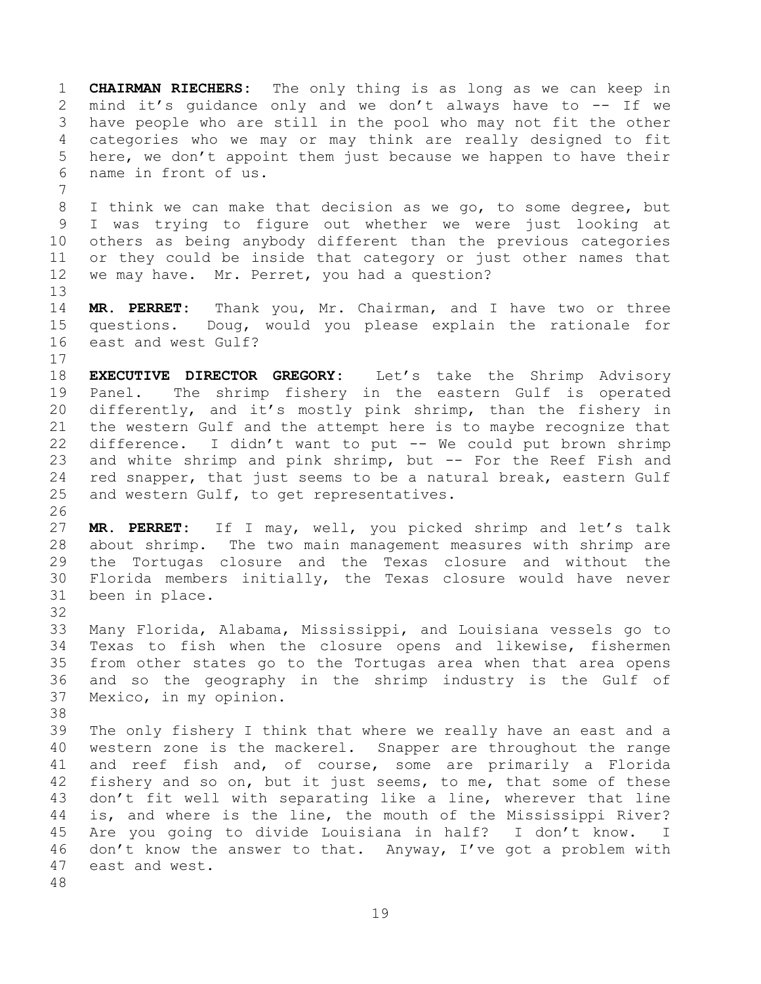**CHAIRMAN RIECHERS:** The only thing is as long as we can keep in mind it's guidance only and we don't always have to -- If we have people who are still in the pool who may not fit the other categories who we may or may think are really designed to fit here, we don't appoint them just because we happen to have their name in front of us. I think we can make that decision as we go, to some degree, but I was trying to figure out whether we were just looking at others as being anybody different than the previous categories or they could be inside that category or just other names that we may have. Mr. Perret, you had a question? **MR. PERRET:** Thank you, Mr. Chairman, and I have two or three questions. Doug, would you please explain the rationale for east and west Gulf? **EXECUTIVE DIRECTOR GREGORY:** Let's take the Shrimp Advisory Panel. The shrimp fishery in the eastern Gulf is operated differently, and it's mostly pink shrimp, than the fishery in the western Gulf and the attempt here is to maybe recognize that difference. I didn't want to put -- We could put brown shrimp and white shrimp and pink shrimp, but -- For the Reef Fish and red snapper, that just seems to be a natural break, eastern Gulf and western Gulf, to get representatives. **MR. PERRET:** If I may, well, you picked shrimp and let's talk about shrimp. The two main management measures with shrimp are the Tortugas closure and the Texas closure and without the Florida members initially, the Texas closure would have never been in place. Many Florida, Alabama, Mississippi, and Louisiana vessels go to Texas to fish when the closure opens and likewise, fishermen from other states go to the Tortugas area when that area opens and so the geography in the shrimp industry is the Gulf of Mexico, in my opinion. The only fishery I think that where we really have an east and a western zone is the mackerel. Snapper are throughout the range and reef fish and, of course, some are primarily a Florida fishery and so on, but it just seems, to me, that some of these don't fit well with separating like a line, wherever that line is, and where is the line, the mouth of the Mississippi River? Are you going to divide Louisiana in half? I don't know. I don't know the answer to that. Anyway, I've got a problem with east and west.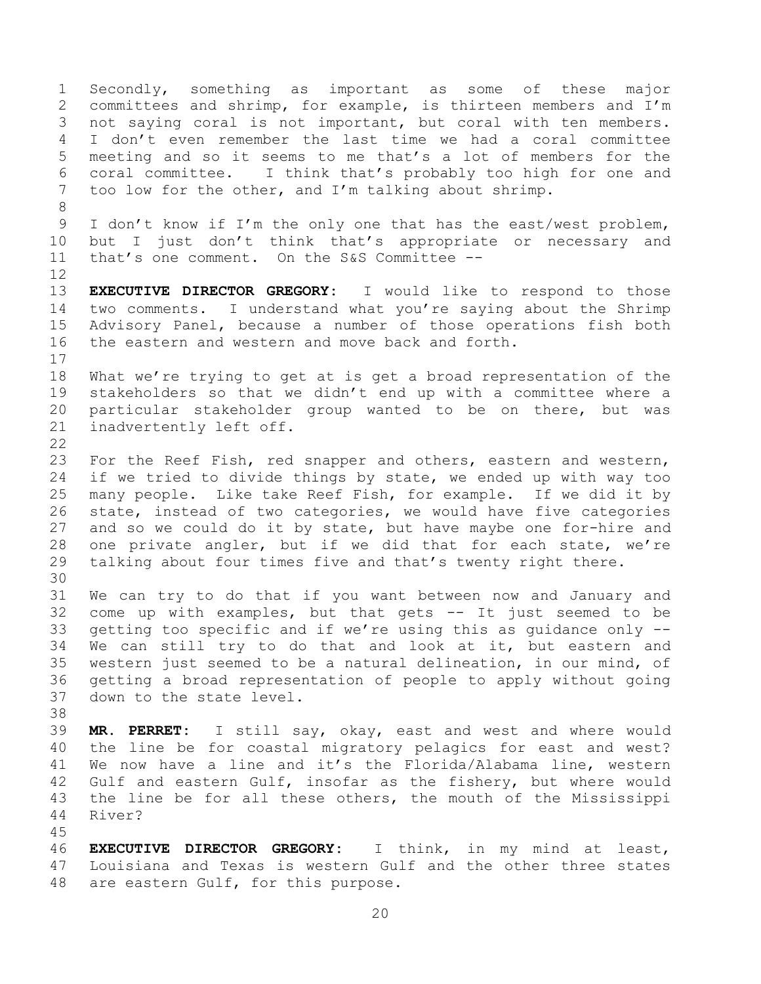Secondly, something as important as some of these major committees and shrimp, for example, is thirteen members and I'm not saying coral is not important, but coral with ten members. I don't even remember the last time we had a coral committee meeting and so it seems to me that's a lot of members for the coral committee. I think that's probably too high for one and too low for the other, and I'm talking about shrimp. 9 I don't know if I'm the only one that has the east/west problem, 10 but I just don't think that's appropriate or necessary and that's one comment. On the S&S Committee -- **EXECUTIVE DIRECTOR GREGORY:** I would like to respond to those two comments. I understand what you're saying about the Shrimp Advisory Panel, because a number of those operations fish both the eastern and western and move back and forth. What we're trying to get at is get a broad representation of the stakeholders so that we didn't end up with a committee where a particular stakeholder group wanted to be on there, but was inadvertently left off. For the Reef Fish, red snapper and others, eastern and western, if we tried to divide things by state, we ended up with way too many people. Like take Reef Fish, for example. If we did it by state, instead of two categories, we would have five categories and so we could do it by state, but have maybe one for-hire and one private angler, but if we did that for each state, we're talking about four times five and that's twenty right there. We can try to do that if you want between now and January and come up with examples, but that gets -- It just seemed to be getting too specific and if we're using this as guidance only -- We can still try to do that and look at it, but eastern and western just seemed to be a natural delineation, in our mind, of getting a broad representation of people to apply without going down to the state level. **MR. PERRET:** I still say, okay, east and west and where would the line be for coastal migratory pelagics for east and west? We now have a line and it's the Florida/Alabama line, western Gulf and eastern Gulf, insofar as the fishery, but where would the line be for all these others, the mouth of the Mississippi River? **EXECUTIVE DIRECTOR GREGORY:** I think, in my mind at least, Louisiana and Texas is western Gulf and the other three states are eastern Gulf, for this purpose.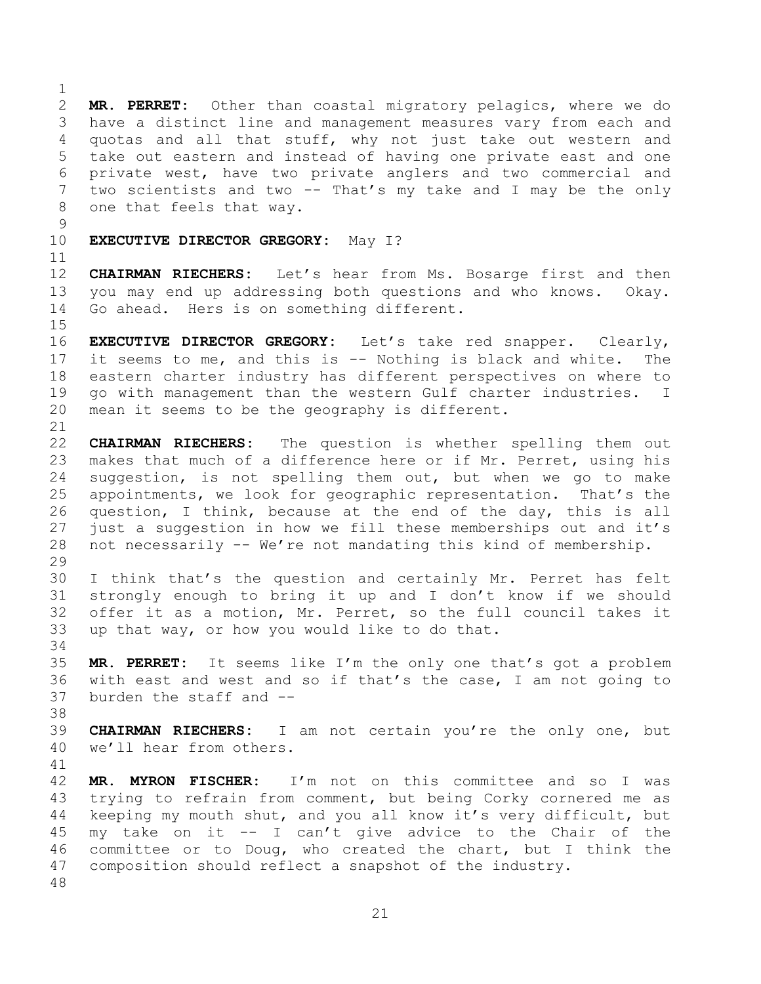**MR. PERRET:** Other than coastal migratory pelagics, where we do have a distinct line and management measures vary from each and quotas and all that stuff, why not just take out western and take out eastern and instead of having one private east and one private west, have two private anglers and two commercial and two scientists and two -- That's my take and I may be the only one that feels that way. 

**EXECUTIVE DIRECTOR GREGORY:** May I?

 **CHAIRMAN RIECHERS:** Let's hear from Ms. Bosarge first and then you may end up addressing both questions and who knows. Okay. Go ahead. Hers is on something different.

 **EXECUTIVE DIRECTOR GREGORY:** Let's take red snapper. Clearly, it seems to me, and this is -- Nothing is black and white. The eastern charter industry has different perspectives on where to go with management than the western Gulf charter industries. I mean it seems to be the geography is different.

 **CHAIRMAN RIECHERS:** The question is whether spelling them out makes that much of a difference here or if Mr. Perret, using his suggestion, is not spelling them out, but when we go to make appointments, we look for geographic representation. That's the question, I think, because at the end of the day, this is all 27 just a suggestion in how we fill these memberships out and it's not necessarily -- We're not mandating this kind of membership. 

 I think that's the question and certainly Mr. Perret has felt strongly enough to bring it up and I don't know if we should offer it as a motion, Mr. Perret, so the full council takes it up that way, or how you would like to do that.

 **MR. PERRET:** It seems like I'm the only one that's got a problem with east and west and so if that's the case, I am not going to burden the staff and --

 **CHAIRMAN RIECHERS:** I am not certain you're the only one, but we'll hear from others.

 **MR. MYRON FISCHER:** I'm not on this committee and so I was trying to refrain from comment, but being Corky cornered me as keeping my mouth shut, and you all know it's very difficult, but my take on it -- I can't give advice to the Chair of the committee or to Doug, who created the chart, but I think the composition should reflect a snapshot of the industry.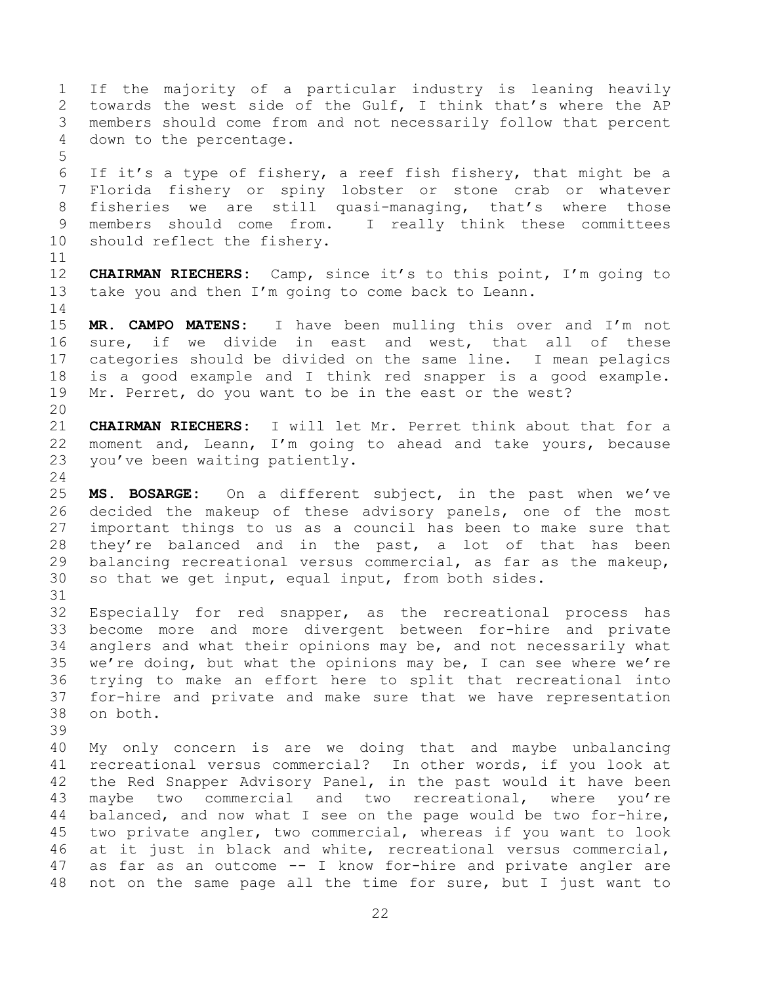If the majority of a particular industry is leaning heavily towards the west side of the Gulf, I think that's where the AP members should come from and not necessarily follow that percent down to the percentage. 

 If it's a type of fishery, a reef fish fishery, that might be a Florida fishery or spiny lobster or stone crab or whatever fisheries we are still quasi-managing, that's where those members should come from. I really think these committees should reflect the fishery.

 **CHAIRMAN RIECHERS:** Camp, since it's to this point, I'm going to take you and then I'm going to come back to Leann.

 **MR. CAMPO MATENS:** I have been mulling this over and I'm not sure, if we divide in east and west, that all of these categories should be divided on the same line. I mean pelagics is a good example and I think red snapper is a good example. Mr. Perret, do you want to be in the east or the west?

 **CHAIRMAN RIECHERS:** I will let Mr. Perret think about that for a moment and, Leann, I'm going to ahead and take yours, because you've been waiting patiently.

 **MS. BOSARGE:** On a different subject, in the past when we've decided the makeup of these advisory panels, one of the most important things to us as a council has been to make sure that 28 they're balanced and in the past, a lot of that has been balancing recreational versus commercial, as far as the makeup, so that we get input, equal input, from both sides.

 Especially for red snapper, as the recreational process has become more and more divergent between for-hire and private anglers and what their opinions may be, and not necessarily what we're doing, but what the opinions may be, I can see where we're trying to make an effort here to split that recreational into for-hire and private and make sure that we have representation on both.

 My only concern is are we doing that and maybe unbalancing recreational versus commercial? In other words, if you look at the Red Snapper Advisory Panel, in the past would it have been maybe two commercial and two recreational, where you're balanced, and now what I see on the page would be two for-hire, two private angler, two commercial, whereas if you want to look at it just in black and white, recreational versus commercial, as far as an outcome -- I know for-hire and private angler are not on the same page all the time for sure, but I just want to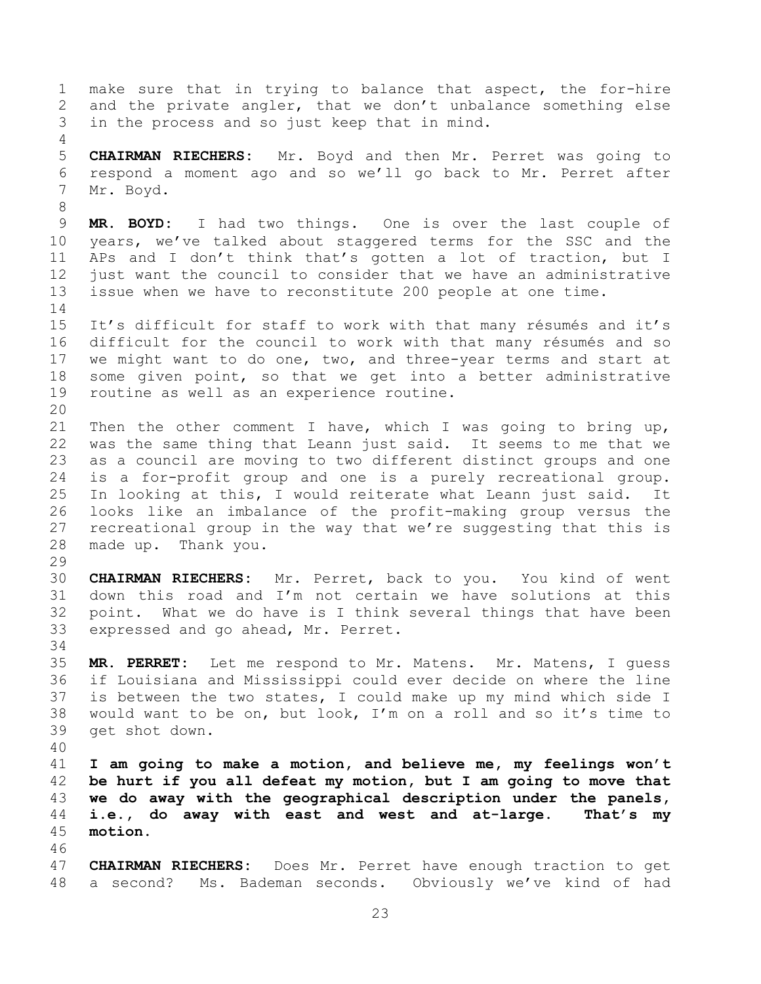make sure that in trying to balance that aspect, the for-hire and the private angler, that we don't unbalance something else in the process and so just keep that in mind. **CHAIRMAN RIECHERS:** Mr. Boyd and then Mr. Perret was going to respond a moment ago and so we'll go back to Mr. Perret after Mr. Boyd. **MR. BOYD:** I had two things. One is over the last couple of years, we've talked about staggered terms for the SSC and the APs and I don't think that's gotten a lot of traction, but I just want the council to consider that we have an administrative issue when we have to reconstitute 200 people at one time. It's difficult for staff to work with that many résumés and it's difficult for the council to work with that many résumés and so we might want to do one, two, and three-year terms and start at some given point, so that we get into a better administrative routine as well as an experience routine. Then the other comment I have, which I was going to bring up, was the same thing that Leann just said. It seems to me that we as a council are moving to two different distinct groups and one is a for-profit group and one is a purely recreational group. In looking at this, I would reiterate what Leann just said. It looks like an imbalance of the profit-making group versus the recreational group in the way that we're suggesting that this is made up. Thank you. **CHAIRMAN RIECHERS:** Mr. Perret, back to you. You kind of went down this road and I'm not certain we have solutions at this point. What we do have is I think several things that have been expressed and go ahead, Mr. Perret. **MR. PERRET:** Let me respond to Mr. Matens. Mr. Matens, I guess if Louisiana and Mississippi could ever decide on where the line is between the two states, I could make up my mind which side I would want to be on, but look, I'm on a roll and so it's time to get shot down. **I am going to make a motion, and believe me, my feelings won't be hurt if you all defeat my motion, but I am going to move that we do away with the geographical description under the panels, i.e., do away with east and west and at-large. That's my motion. CHAIRMAN RIECHERS:** Does Mr. Perret have enough traction to get a second? Ms. Bademan seconds. Obviously we've kind of had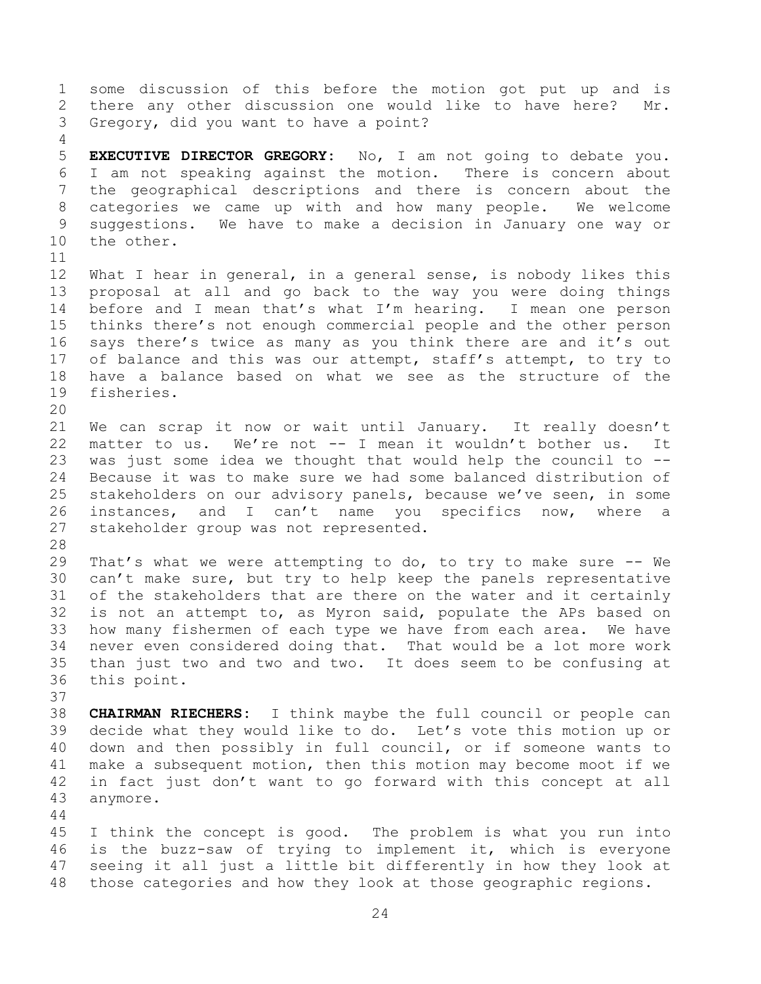some discussion of this before the motion got put up and is there any other discussion one would like to have here? Mr. Gregory, did you want to have a point? **EXECUTIVE DIRECTOR GREGORY:** No, I am not going to debate you.

 I am not speaking against the motion. There is concern about the geographical descriptions and there is concern about the categories we came up with and how many people. We welcome suggestions. We have to make a decision in January one way or the other. 

 What I hear in general, in a general sense, is nobody likes this proposal at all and go back to the way you were doing things before and I mean that's what I'm hearing. I mean one person thinks there's not enough commercial people and the other person says there's twice as many as you think there are and it's out 17 of balance and this was our attempt, staff's attempt, to try to have a balance based on what we see as the structure of the fisheries.

 We can scrap it now or wait until January. It really doesn't matter to us. We're not -- I mean it wouldn't bother us. It was just some idea we thought that would help the council to -- Because it was to make sure we had some balanced distribution of stakeholders on our advisory panels, because we've seen, in some instances, and I can't name you specifics now, where a stakeholder group was not represented.

 That's what we were attempting to do, to try to make sure -- We can't make sure, but try to help keep the panels representative of the stakeholders that are there on the water and it certainly is not an attempt to, as Myron said, populate the APs based on how many fishermen of each type we have from each area. We have never even considered doing that. That would be a lot more work than just two and two and two. It does seem to be confusing at this point.

 **CHAIRMAN RIECHERS:** I think maybe the full council or people can decide what they would like to do. Let's vote this motion up or down and then possibly in full council, or if someone wants to make a subsequent motion, then this motion may become moot if we in fact just don't want to go forward with this concept at all anymore.

 I think the concept is good. The problem is what you run into is the buzz-saw of trying to implement it, which is everyone seeing it all just a little bit differently in how they look at those categories and how they look at those geographic regions.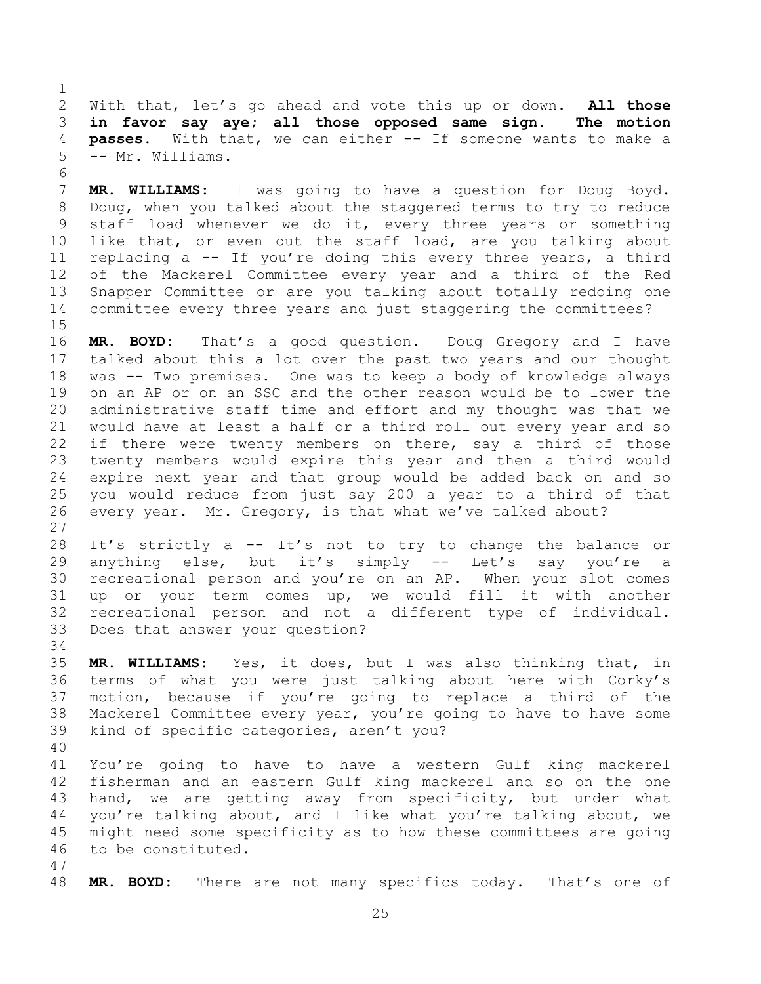With that, let's go ahead and vote this up or down. **All those in favor say aye; all those opposed same sign. The motion passes.** With that, we can either -- If someone wants to make a -- Mr. Williams.

 **MR. WILLIAMS:** I was going to have a question for Doug Boyd. Doug, when you talked about the staggered terms to try to reduce staff load whenever we do it, every three years or something like that, or even out the staff load, are you talking about replacing a -- If you're doing this every three years, a third of the Mackerel Committee every year and a third of the Red Snapper Committee or are you talking about totally redoing one committee every three years and just staggering the committees?

 **MR. BOYD:** That's a good question. Doug Gregory and I have talked about this a lot over the past two years and our thought was -- Two premises. One was to keep a body of knowledge always on an AP or on an SSC and the other reason would be to lower the administrative staff time and effort and my thought was that we would have at least a half or a third roll out every year and so 22 if there were twenty members on there, say a third of those twenty members would expire this year and then a third would expire next year and that group would be added back on and so you would reduce from just say 200 a year to a third of that every year. Mr. Gregory, is that what we've talked about?

 It's strictly a -- It's not to try to change the balance or anything else, but it's simply -- Let's say you're a recreational person and you're on an AP. When your slot comes up or your term comes up, we would fill it with another recreational person and not a different type of individual. Does that answer your question?

 **MR. WILLIAMS:** Yes, it does, but I was also thinking that, in terms of what you were just talking about here with Corky's motion, because if you're going to replace a third of the Mackerel Committee every year, you're going to have to have some

 kind of specific categories, aren't you? 

 You're going to have to have a western Gulf king mackerel fisherman and an eastern Gulf king mackerel and so on the one hand, we are getting away from specificity, but under what you're talking about, and I like what you're talking about, we might need some specificity as to how these committees are going to be constituted.

**MR. BOYD:** There are not many specifics today. That's one of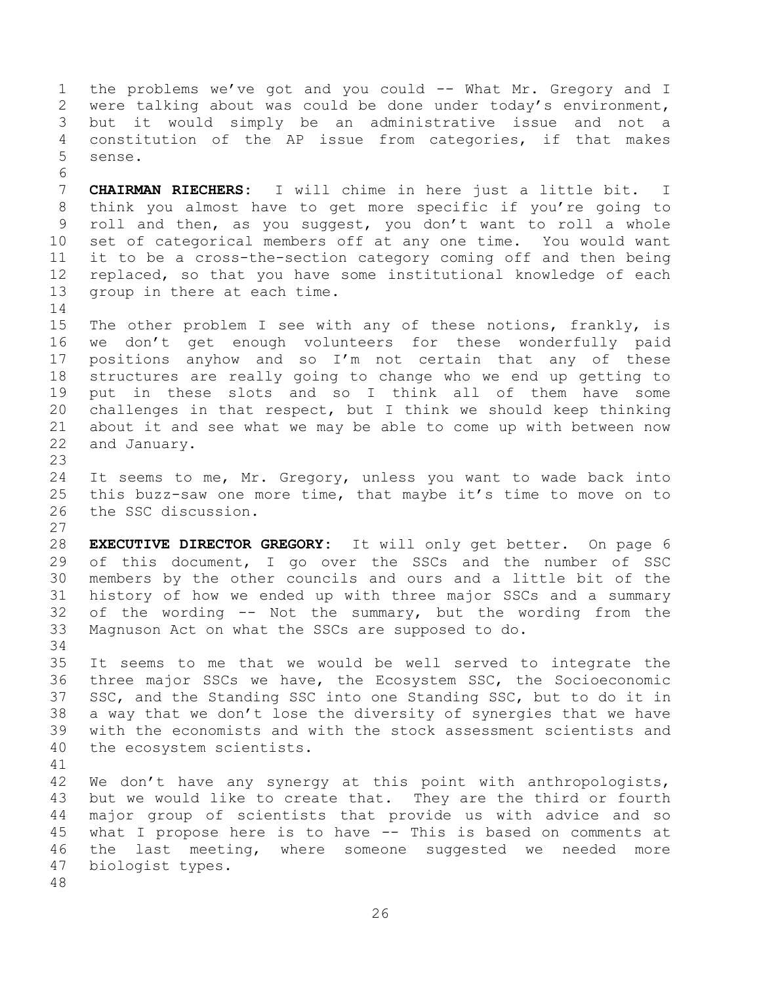the problems we've got and you could -- What Mr. Gregory and I were talking about was could be done under today's environment, but it would simply be an administrative issue and not a constitution of the AP issue from categories, if that makes sense. 

 **CHAIRMAN RIECHERS:** I will chime in here just a little bit. I think you almost have to get more specific if you're going to roll and then, as you suggest, you don't want to roll a whole set of categorical members off at any one time. You would want it to be a cross-the-section category coming off and then being replaced, so that you have some institutional knowledge of each group in there at each time.

 The other problem I see with any of these notions, frankly, is we don't get enough volunteers for these wonderfully paid positions anyhow and so I'm not certain that any of these structures are really going to change who we end up getting to put in these slots and so I think all of them have some challenges in that respect, but I think we should keep thinking about it and see what we may be able to come up with between now and January.

 It seems to me, Mr. Gregory, unless you want to wade back into this buzz-saw one more time, that maybe it's time to move on to the SSC discussion.

 **EXECUTIVE DIRECTOR GREGORY:** It will only get better. On page 6 of this document, I go over the SSCs and the number of SSC members by the other councils and ours and a little bit of the history of how we ended up with three major SSCs and a summary of the wording -- Not the summary, but the wording from the Magnuson Act on what the SSCs are supposed to do. 

 It seems to me that we would be well served to integrate the three major SSCs we have, the Ecosystem SSC, the Socioeconomic SSC, and the Standing SSC into one Standing SSC, but to do it in a way that we don't lose the diversity of synergies that we have with the economists and with the stock assessment scientists and the ecosystem scientists.

42 We don't have any synergy at this point with anthropologists, but we would like to create that. They are the third or fourth major group of scientists that provide us with advice and so what I propose here is to have -- This is based on comments at the last meeting, where someone suggested we needed more biologist types.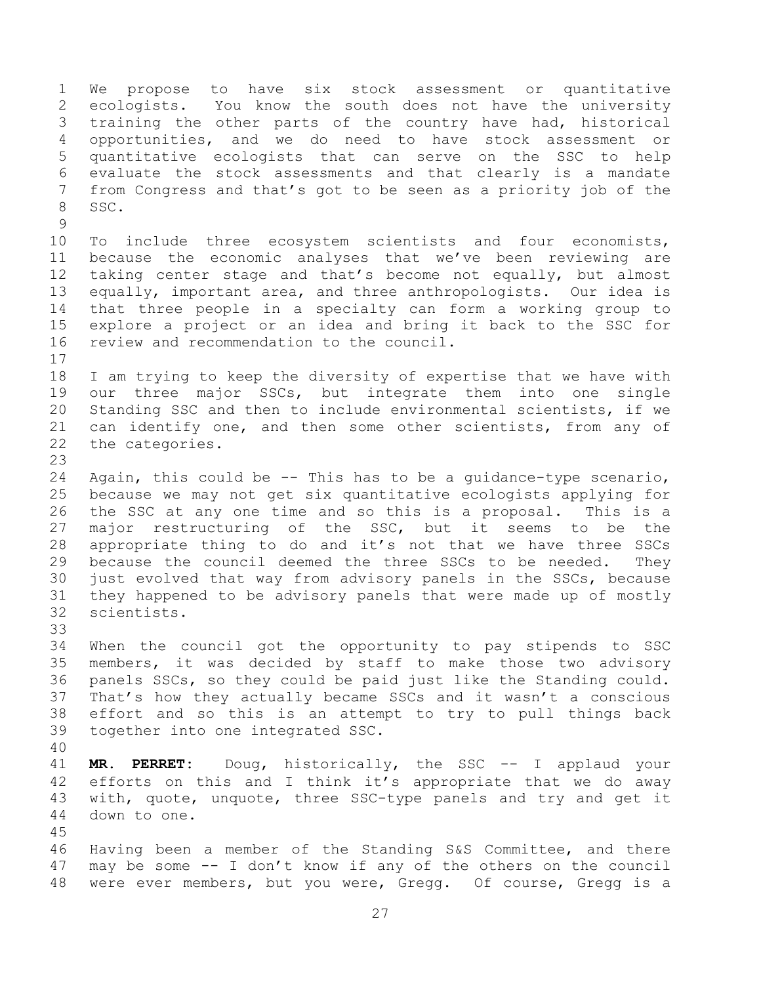We propose to have six stock assessment or quantitative ecologists. You know the south does not have the university training the other parts of the country have had, historical opportunities, and we do need to have stock assessment or quantitative ecologists that can serve on the SSC to help evaluate the stock assessments and that clearly is a mandate from Congress and that's got to be seen as a priority job of the SSC. 

 To include three ecosystem scientists and four economists, because the economic analyses that we've been reviewing are taking center stage and that's become not equally, but almost equally, important area, and three anthropologists. Our idea is that three people in a specialty can form a working group to explore a project or an idea and bring it back to the SSC for review and recommendation to the council.

 I am trying to keep the diversity of expertise that we have with our three major SSCs, but integrate them into one single Standing SSC and then to include environmental scientists, if we can identify one, and then some other scientists, from any of the categories.

 Again, this could be -- This has to be a guidance-type scenario, because we may not get six quantitative ecologists applying for the SSC at any one time and so this is a proposal. This is a major restructuring of the SSC, but it seems to be the appropriate thing to do and it's not that we have three SSCs because the council deemed the three SSCs to be needed. They just evolved that way from advisory panels in the SSCs, because they happened to be advisory panels that were made up of mostly scientists.

 When the council got the opportunity to pay stipends to SSC members, it was decided by staff to make those two advisory panels SSCs, so they could be paid just like the Standing could. That's how they actually became SSCs and it wasn't a conscious effort and so this is an attempt to try to pull things back together into one integrated SSC.

 **MR. PERRET:** Doug, historically, the SSC -- I applaud your efforts on this and I think it's appropriate that we do away with, quote, unquote, three SSC-type panels and try and get it down to one. 

 Having been a member of the Standing S&S Committee, and there may be some -- I don't know if any of the others on the council were ever members, but you were, Gregg. Of course, Gregg is a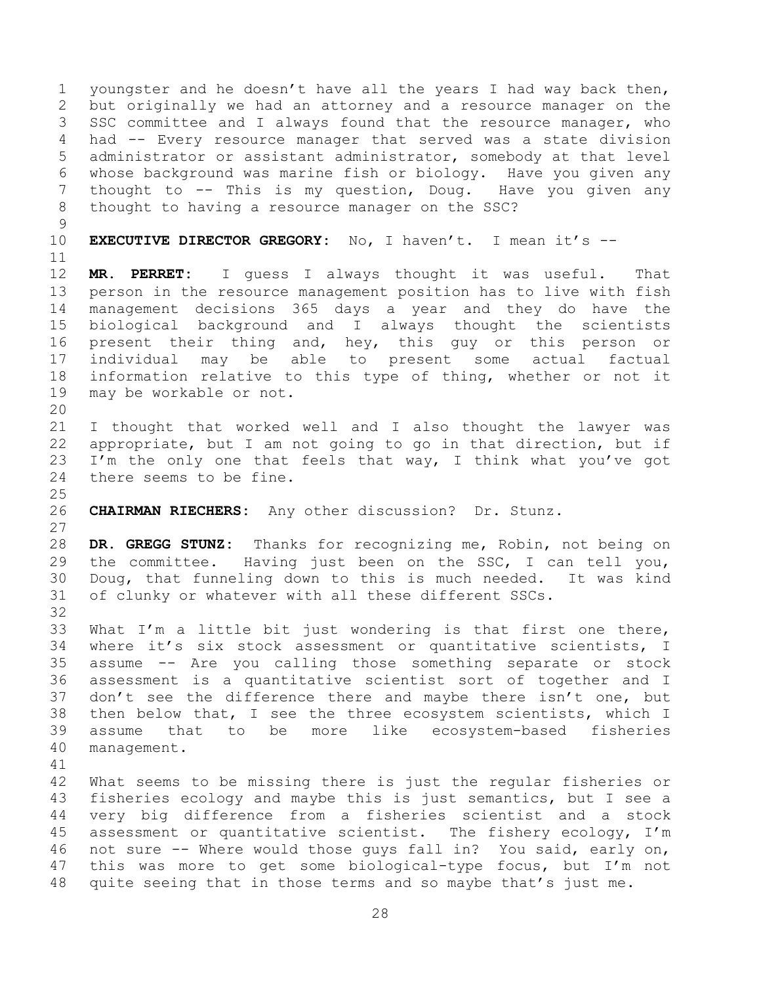youngster and he doesn't have all the years I had way back then, but originally we had an attorney and a resource manager on the SSC committee and I always found that the resource manager, who had -- Every resource manager that served was a state division administrator or assistant administrator, somebody at that level whose background was marine fish or biology. Have you given any 7 thought to -- This is my question, Doug. Have you given any thought to having a resource manager on the SSC? **EXECUTIVE DIRECTOR GREGORY:** No, I haven't. I mean it's -- **MR. PERRET:** I guess I always thought it was useful. That person in the resource management position has to live with fish management decisions 365 days a year and they do have the biological background and I always thought the scientists present their thing and, hey, this guy or this person or individual may be able to present some actual factual information relative to this type of thing, whether or not it may be workable or not. I thought that worked well and I also thought the lawyer was appropriate, but I am not going to go in that direction, but if 23 I'm the only one that feels that way, I think what you've got there seems to be fine. **CHAIRMAN RIECHERS:** Any other discussion? Dr. Stunz. **DR. GREGG STUNZ:** Thanks for recognizing me, Robin, not being on the committee. Having just been on the SSC, I can tell you, Doug, that funneling down to this is much needed. It was kind of clunky or whatever with all these different SSCs. What I'm a little bit just wondering is that first one there, where it's six stock assessment or quantitative scientists, I assume -- Are you calling those something separate or stock assessment is a quantitative scientist sort of together and I 37 don't see the difference there and maybe there isn't one, but then below that, I see the three ecosystem scientists, which I assume that to be more like ecosystem-based fisheries management. What seems to be missing there is just the regular fisheries or fisheries ecology and maybe this is just semantics, but I see a very big difference from a fisheries scientist and a stock assessment or quantitative scientist. The fishery ecology, I'm not sure -- Where would those guys fall in? You said, early on, this was more to get some biological-type focus, but I'm not quite seeing that in those terms and so maybe that's just me.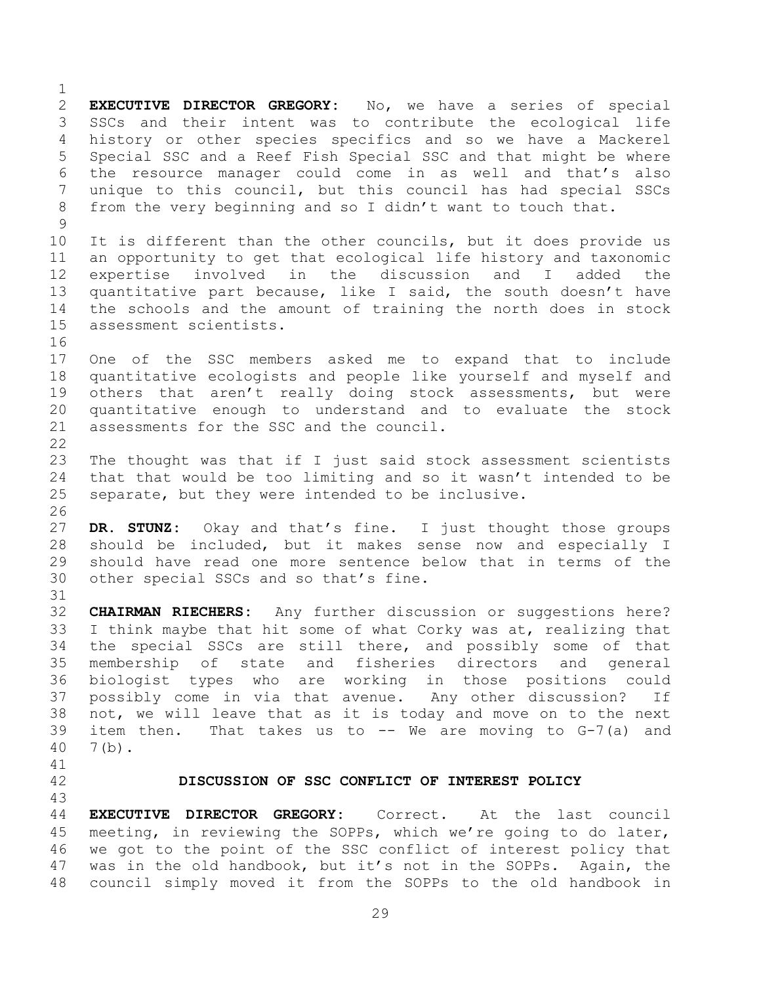**EXECUTIVE DIRECTOR GREGORY:** No, we have a series of special SSCs and their intent was to contribute the ecological life history or other species specifics and so we have a Mackerel Special SSC and a Reef Fish Special SSC and that might be where the resource manager could come in as well and that's also unique to this council, but this council has had special SSCs from the very beginning and so I didn't want to touch that. It is different than the other councils, but it does provide us an opportunity to get that ecological life history and taxonomic expertise involved in the discussion and I added the quantitative part because, like I said, the south doesn't have the schools and the amount of training the north does in stock assessment scientists. One of the SSC members asked me to expand that to include quantitative ecologists and people like yourself and myself and 19 others that aren't really doing stock assessments, but were quantitative enough to understand and to evaluate the stock 21 assessments for the SSC and the council. The thought was that if I just said stock assessment scientists that that would be too limiting and so it wasn't intended to be separate, but they were intended to be inclusive. **DR. STUNZ:** Okay and that's fine. I just thought those groups should be included, but it makes sense now and especially I should have read one more sentence below that in terms of the other special SSCs and so that's fine. **CHAIRMAN RIECHERS:** Any further discussion or suggestions here? I think maybe that hit some of what Corky was at, realizing that the special SSCs are still there, and possibly some of that membership of state and fisheries directors and general biologist types who are working in those positions could possibly come in via that avenue. Any other discussion? If not, we will leave that as it is today and move on to the next item then. That takes us to -- We are moving to G-7(a) and 7(b). **DISCUSSION OF SSC CONFLICT OF INTEREST POLICY**

 **EXECUTIVE DIRECTOR GREGORY:** Correct. At the last council meeting, in reviewing the SOPPs, which we're going to do later, we got to the point of the SSC conflict of interest policy that was in the old handbook, but it's not in the SOPPs. Again, the council simply moved it from the SOPPs to the old handbook in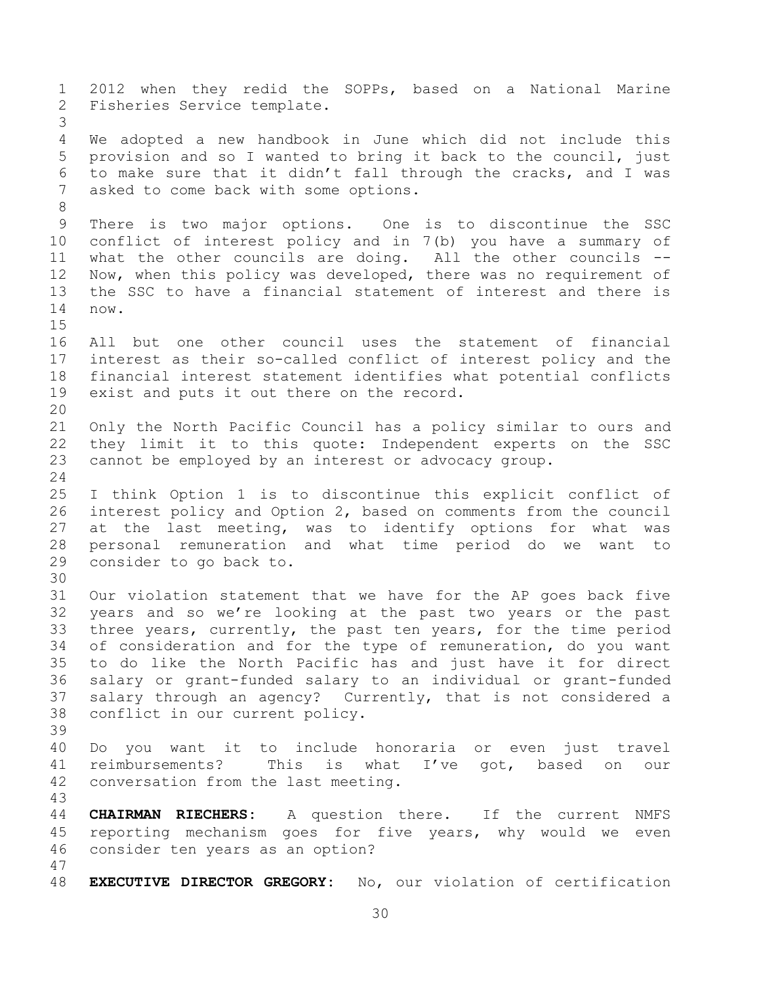2012 when they redid the SOPPs, based on a National Marine Fisheries Service template. We adopted a new handbook in June which did not include this provision and so I wanted to bring it back to the council, just to make sure that it didn't fall through the cracks, and I was asked to come back with some options. There is two major options. One is to discontinue the SSC conflict of interest policy and in 7(b) you have a summary of what the other councils are doing. All the other councils -- Now, when this policy was developed, there was no requirement of the SSC to have a financial statement of interest and there is now. All but one other council uses the statement of financial interest as their so-called conflict of interest policy and the financial interest statement identifies what potential conflicts exist and puts it out there on the record. Only the North Pacific Council has a policy similar to ours and they limit it to this quote: Independent experts on the SSC cannot be employed by an interest or advocacy group. I think Option 1 is to discontinue this explicit conflict of interest policy and Option 2, based on comments from the council at the last meeting, was to identify options for what was personal remuneration and what time period do we want to consider to go back to. Our violation statement that we have for the AP goes back five years and so we're looking at the past two years or the past three years, currently, the past ten years, for the time period of consideration and for the type of remuneration, do you want to do like the North Pacific has and just have it for direct salary or grant-funded salary to an individual or grant-funded salary through an agency? Currently, that is not considered a conflict in our current policy. Do you want it to include honoraria or even just travel reimbursements? This is what I've got, based on our conversation from the last meeting. **CHAIRMAN RIECHERS:** A question there. If the current NMFS reporting mechanism goes for five years, why would we even consider ten years as an option? **EXECUTIVE DIRECTOR GREGORY:** No, our violation of certification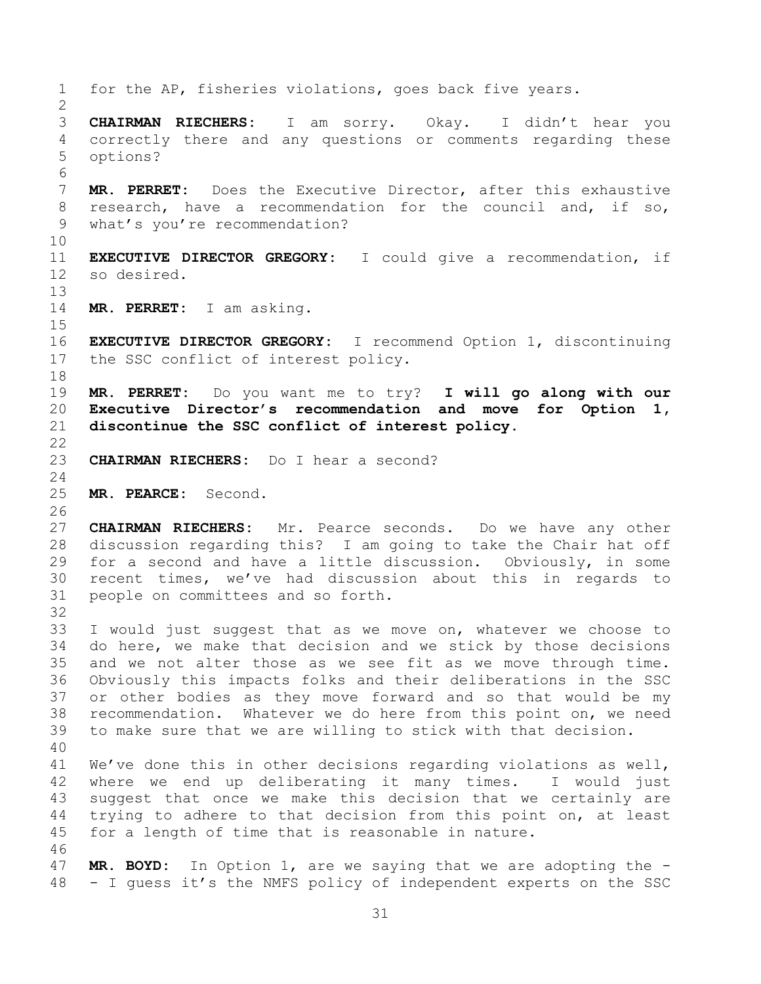for the AP, fisheries violations, goes back five years. **CHAIRMAN RIECHERS:** I am sorry. Okay. I didn't hear you correctly there and any questions or comments regarding these options? **MR. PERRET:** Does the Executive Director, after this exhaustive research, have a recommendation for the council and, if so, what's you're recommendation? **EXECUTIVE DIRECTOR GREGORY:** I could give a recommendation, if so desired. **MR. PERRET:** I am asking. **EXECUTIVE DIRECTOR GREGORY:** I recommend Option 1, discontinuing the SSC conflict of interest policy. **MR. PERRET:** Do you want me to try? **I will go along with our Executive Director's recommendation and move for Option 1, discontinue the SSC conflict of interest policy. CHAIRMAN RIECHERS:** Do I hear a second? **MR. PEARCE:** Second. **CHAIRMAN RIECHERS:** Mr. Pearce seconds. Do we have any other discussion regarding this? I am going to take the Chair hat off for a second and have a little discussion. Obviously, in some recent times, we've had discussion about this in regards to people on committees and so forth. I would just suggest that as we move on, whatever we choose to do here, we make that decision and we stick by those decisions and we not alter those as we see fit as we move through time. Obviously this impacts folks and their deliberations in the SSC or other bodies as they move forward and so that would be my recommendation. Whatever we do here from this point on, we need to make sure that we are willing to stick with that decision. We've done this in other decisions regarding violations as well, where we end up deliberating it many times. I would just suggest that once we make this decision that we certainly are trying to adhere to that decision from this point on, at least for a length of time that is reasonable in nature. **MR. BOYD:** In Option 1, are we saying that we are adopting the - - I guess it's the NMFS policy of independent experts on the SSC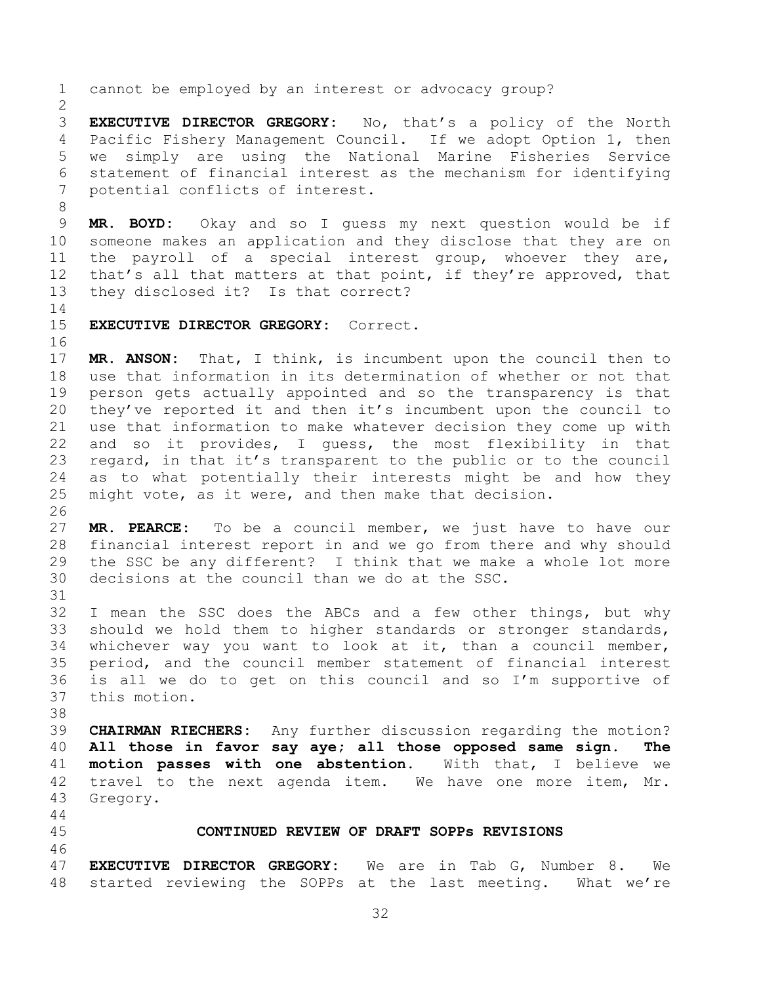cannot be employed by an interest or advocacy group? **EXECUTIVE DIRECTOR GREGORY:** No, that's a policy of the North Pacific Fishery Management Council. If we adopt Option 1, then we simply are using the National Marine Fisheries Service statement of financial interest as the mechanism for identifying potential conflicts of interest. **MR. BOYD:** Okay and so I guess my next question would be if someone makes an application and they disclose that they are on the payroll of a special interest group, whoever they are, 12 that's all that matters at that point, if they're approved, that they disclosed it? Is that correct? **EXECUTIVE DIRECTOR GREGORY:** Correct. **MR. ANSON:** That, I think, is incumbent upon the council then to use that information in its determination of whether or not that person gets actually appointed and so the transparency is that they've reported it and then it's incumbent upon the council to use that information to make whatever decision they come up with and so it provides, I guess, the most flexibility in that regard, in that it's transparent to the public or to the council as to what potentially their interests might be and how they might vote, as it were, and then make that decision. **MR. PEARCE:** To be a council member, we just have to have our financial interest report in and we go from there and why should the SSC be any different? I think that we make a whole lot more decisions at the council than we do at the SSC. I mean the SSC does the ABCs and a few other things, but why should we hold them to higher standards or stronger standards, whichever way you want to look at it, than a council member, period, and the council member statement of financial interest is all we do to get on this council and so I'm supportive of this motion. **CHAIRMAN RIECHERS:** Any further discussion regarding the motion? **All those in favor say aye; all those opposed same sign. The motion passes with one abstention.** With that, I believe we travel to the next agenda item. We have one more item, Mr. Gregory. **CONTINUED REVIEW OF DRAFT SOPPs REVISIONS EXECUTIVE DIRECTOR GREGORY:** We are in Tab G, Number 8. We started reviewing the SOPPs at the last meeting. What we're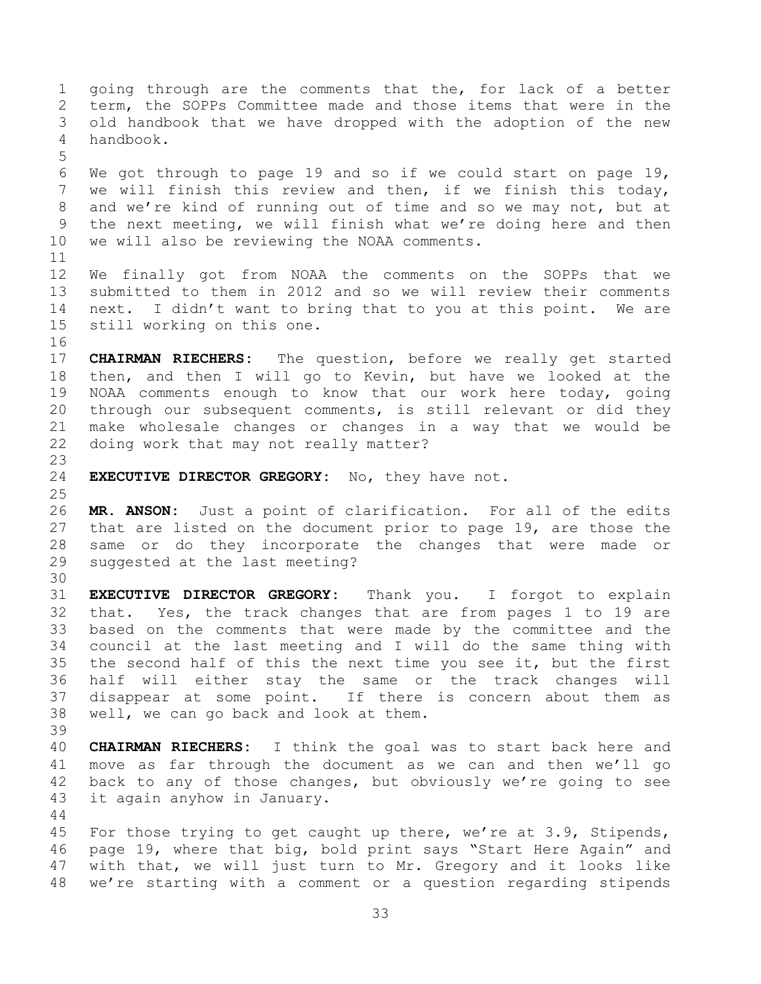going through are the comments that the, for lack of a better term, the SOPPs Committee made and those items that were in the old handbook that we have dropped with the adoption of the new handbook. We got through to page 19 and so if we could start on page 19, we will finish this review and then, if we finish this today, and we're kind of running out of time and so we may not, but at the next meeting, we will finish what we're doing here and then we will also be reviewing the NOAA comments. We finally got from NOAA the comments on the SOPPs that we submitted to them in 2012 and so we will review their comments next. I didn't want to bring that to you at this point. We are still working on this one. **CHAIRMAN RIECHERS:** The question, before we really get started then, and then I will go to Kevin, but have we looked at the NOAA comments enough to know that our work here today, going through our subsequent comments, is still relevant or did they make wholesale changes or changes in a way that we would be doing work that may not really matter? **EXECUTIVE DIRECTOR GREGORY:** No, they have not. **MR. ANSON:** Just a point of clarification. For all of the edits that are listed on the document prior to page 19, are those the same or do they incorporate the changes that were made or suggested at the last meeting? **EXECUTIVE DIRECTOR GREGORY:** Thank you. I forgot to explain that. Yes, the track changes that are from pages 1 to 19 are based on the comments that were made by the committee and the council at the last meeting and I will do the same thing with the second half of this the next time you see it, but the first half will either stay the same or the track changes will disappear at some point. If there is concern about them as well, we can go back and look at them. **CHAIRMAN RIECHERS:** I think the goal was to start back here and move as far through the document as we can and then we'll go back to any of those changes, but obviously we're going to see it again anyhow in January. For those trying to get caught up there, we're at 3.9, Stipends, page 19, where that big, bold print says "Start Here Again" and with that, we will just turn to Mr. Gregory and it looks like we're starting with a comment or a question regarding stipends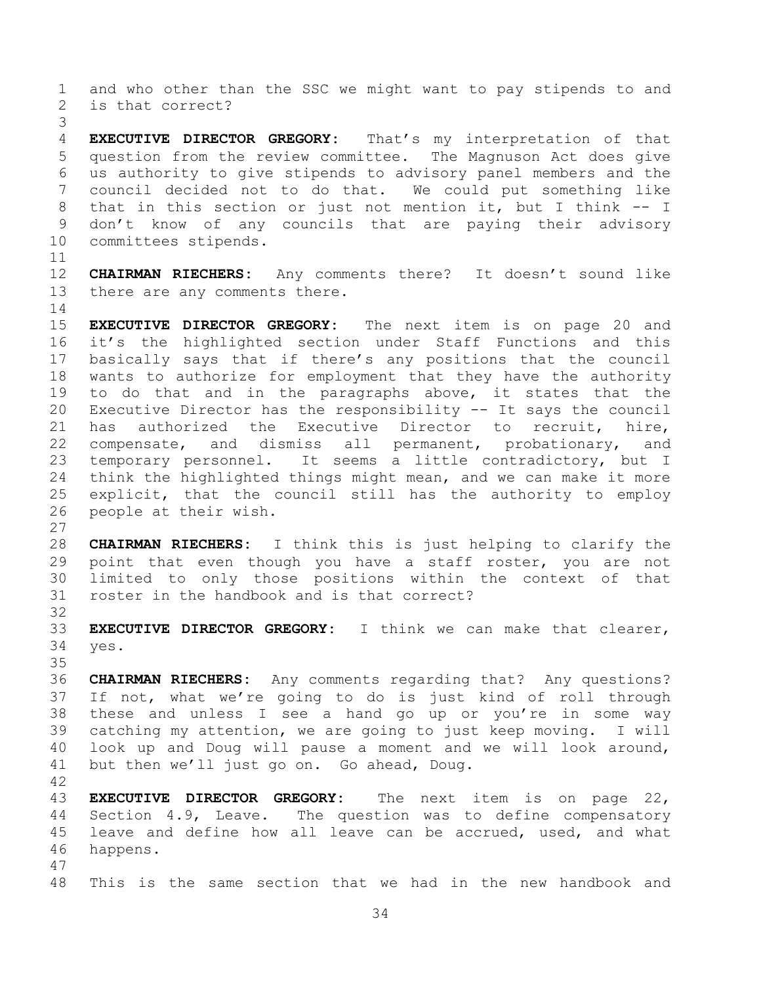and who other than the SSC we might want to pay stipends to and is that correct?

 **EXECUTIVE DIRECTOR GREGORY:** That's my interpretation of that question from the review committee. The Magnuson Act does give us authority to give stipends to advisory panel members and the council decided not to do that. We could put something like that in this section or just not mention it, but I think -- I don't know of any councils that are paying their advisory committees stipends.

 **CHAIRMAN RIECHERS:** Any comments there? It doesn't sound like there are any comments there.

 **EXECUTIVE DIRECTOR GREGORY:** The next item is on page 20 and it's the highlighted section under Staff Functions and this basically says that if there's any positions that the council wants to authorize for employment that they have the authority to do that and in the paragraphs above, it states that the Executive Director has the responsibility -- It says the council has authorized the Executive Director to recruit, hire, compensate, and dismiss all permanent, probationary, and temporary personnel. It seems a little contradictory, but I think the highlighted things might mean, and we can make it more explicit, that the council still has the authority to employ people at their wish.

 **CHAIRMAN RIECHERS:** I think this is just helping to clarify the point that even though you have a staff roster, you are not limited to only those positions within the context of that roster in the handbook and is that correct?

 **EXECUTIVE DIRECTOR GREGORY:** I think we can make that clearer, yes.

 **CHAIRMAN RIECHERS:** Any comments regarding that? Any questions? If not, what we're going to do is just kind of roll through these and unless I see a hand go up or you're in some way catching my attention, we are going to just keep moving. I will look up and Doug will pause a moment and we will look around, but then we'll just go on. Go ahead, Doug.

 **EXECUTIVE DIRECTOR GREGORY:** The next item is on page 22, Section 4.9, Leave. The question was to define compensatory leave and define how all leave can be accrued, used, and what happens.

This is the same section that we had in the new handbook and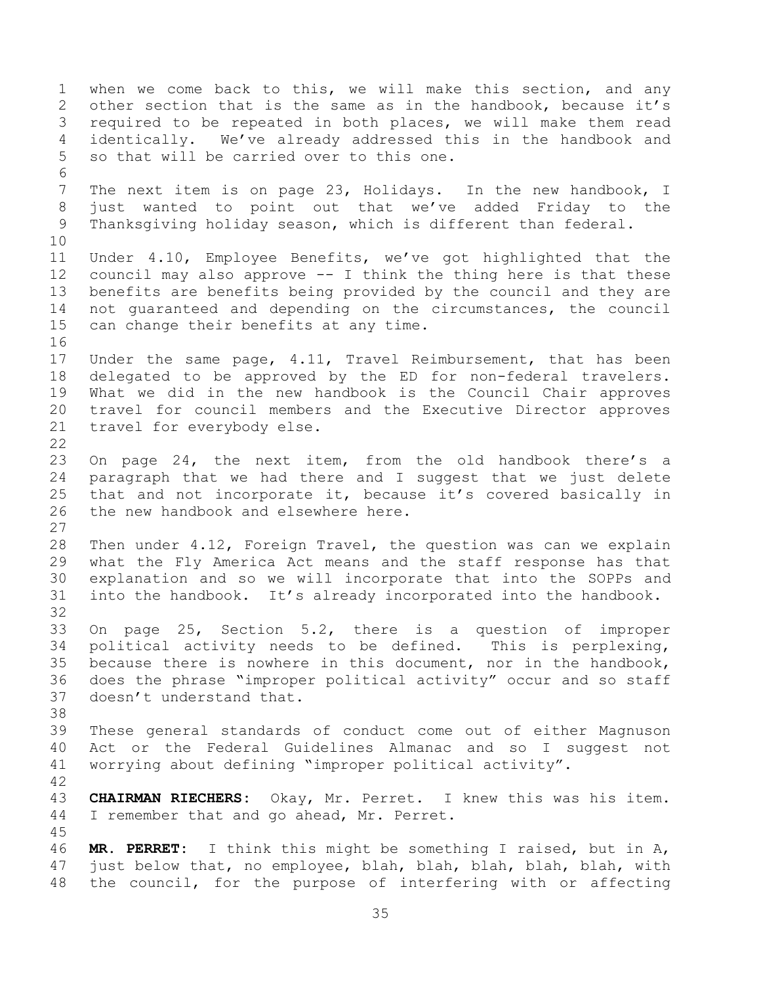when we come back to this, we will make this section, and any other section that is the same as in the handbook, because it's required to be repeated in both places, we will make them read identically. We've already addressed this in the handbook and so that will be carried over to this one. The next item is on page 23, Holidays. In the new handbook, I just wanted to point out that we've added Friday to the Thanksgiving holiday season, which is different than federal. Under 4.10, Employee Benefits, we've got highlighted that the council may also approve -- I think the thing here is that these benefits are benefits being provided by the council and they are not guaranteed and depending on the circumstances, the council can change their benefits at any time. Under the same page, 4.11, Travel Reimbursement, that has been delegated to be approved by the ED for non-federal travelers. What we did in the new handbook is the Council Chair approves travel for council members and the Executive Director approves travel for everybody else. On page 24, the next item, from the old handbook there's a paragraph that we had there and I suggest that we just delete that and not incorporate it, because it's covered basically in the new handbook and elsewhere here. Then under 4.12, Foreign Travel, the question was can we explain what the Fly America Act means and the staff response has that explanation and so we will incorporate that into the SOPPs and into the handbook. It's already incorporated into the handbook. On page 25, Section 5.2, there is a question of improper political activity needs to be defined. This is perplexing, because there is nowhere in this document, nor in the handbook, does the phrase "improper political activity" occur and so staff doesn't understand that. These general standards of conduct come out of either Magnuson Act or the Federal Guidelines Almanac and so I suggest not worrying about defining "improper political activity". **CHAIRMAN RIECHERS:** Okay, Mr. Perret. I knew this was his item. I remember that and go ahead, Mr. Perret. **MR. PERRET:** I think this might be something I raised, but in A, just below that, no employee, blah, blah, blah, blah, blah, with the council, for the purpose of interfering with or affecting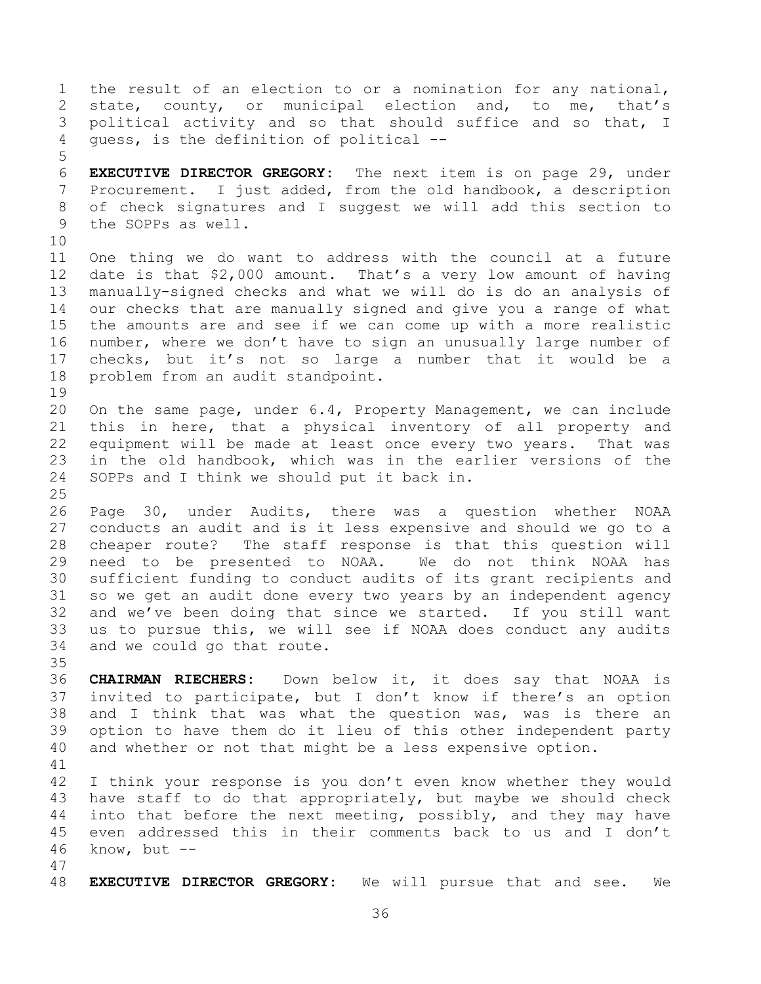the result of an election to or a nomination for any national, state, county, or municipal election and, to me, that's political activity and so that should suffice and so that, I guess, is the definition of political -- **EXECUTIVE DIRECTOR GREGORY:** The next item is on page 29, under Procurement. I just added, from the old handbook, a description of check signatures and I suggest we will add this section to the SOPPs as well. One thing we do want to address with the council at a future date is that \$2,000 amount. That's a very low amount of having manually-signed checks and what we will do is do an analysis of our checks that are manually signed and give you a range of what the amounts are and see if we can come up with a more realistic number, where we don't have to sign an unusually large number of checks, but it's not so large a number that it would be a problem from an audit standpoint. On the same page, under 6.4, Property Management, we can include this in here, that a physical inventory of all property and equipment will be made at least once every two years. That was in the old handbook, which was in the earlier versions of the SOPPs and I think we should put it back in. Page 30, under Audits, there was a question whether NOAA conducts an audit and is it less expensive and should we go to a cheaper route? The staff response is that this question will need to be presented to NOAA. We do not think NOAA has sufficient funding to conduct audits of its grant recipients and so we get an audit done every two years by an independent agency and we've been doing that since we started. If you still want us to pursue this, we will see if NOAA does conduct any audits and we could go that route. **CHAIRMAN RIECHERS:** Down below it, it does say that NOAA is invited to participate, but I don't know if there's an option and I think that was what the question was, was is there an option to have them do it lieu of this other independent party and whether or not that might be a less expensive option. I think your response is you don't even know whether they would have staff to do that appropriately, but maybe we should check into that before the next meeting, possibly, and they may have even addressed this in their comments back to us and I don't know, but -- 

**EXECUTIVE DIRECTOR GREGORY:** We will pursue that and see. We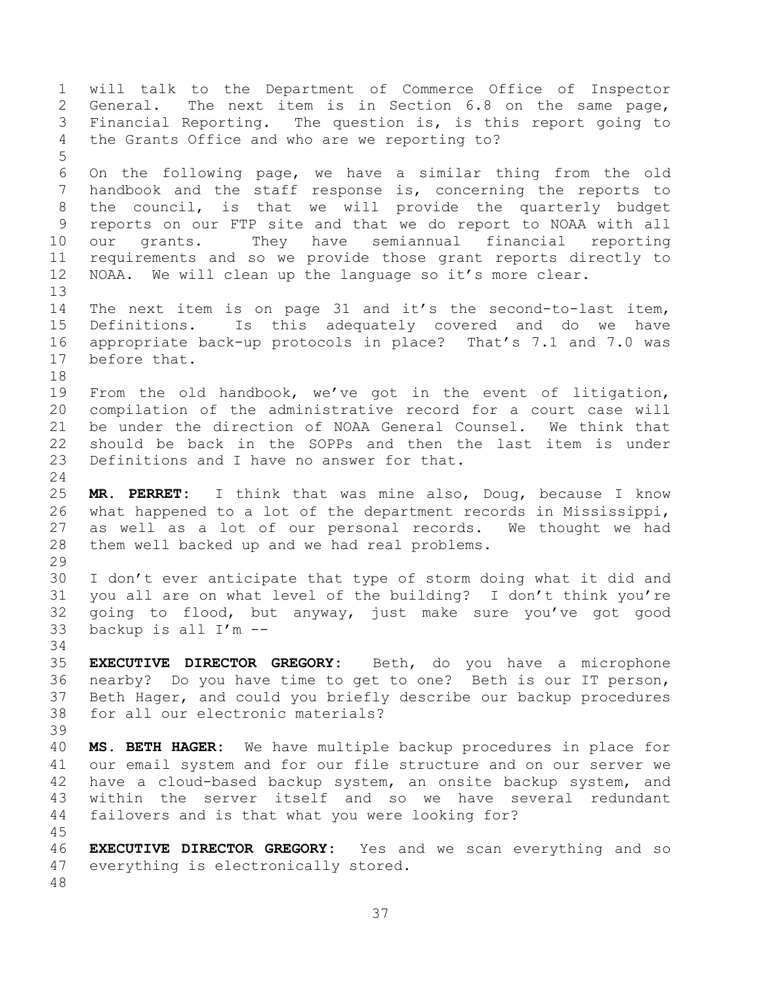will talk to the Department of Commerce Office of Inspector General. The next item is in Section 6.8 on the same page, Financial Reporting. The question is, is this report going to the Grants Office and who are we reporting to? On the following page, we have a similar thing from the old handbook and the staff response is, concerning the reports to the council, is that we will provide the quarterly budget reports on our FTP site and that we do report to NOAA with all our grants. They have semiannual financial reporting requirements and so we provide those grant reports directly to NOAA. We will clean up the language so it's more clear. The next item is on page 31 and it's the second-to-last item, Definitions. Is this adequately covered and do we have appropriate back-up protocols in place? That's 7.1 and 7.0 was before that. From the old handbook, we've got in the event of litigation, compilation of the administrative record for a court case will be under the direction of NOAA General Counsel. We think that should be back in the SOPPs and then the last item is under Definitions and I have no answer for that. **MR. PERRET:** I think that was mine also, Doug, because I know what happened to a lot of the department records in Mississippi, as well as a lot of our personal records. We thought we had them well backed up and we had real problems. I don't ever anticipate that type of storm doing what it did and you all are on what level of the building? I don't think you're going to flood, but anyway, just make sure you've got good backup is all I'm -- **EXECUTIVE DIRECTOR GREGORY:** Beth, do you have a microphone nearby? Do you have time to get to one? Beth is our IT person, Beth Hager, and could you briefly describe our backup procedures for all our electronic materials? **MS. BETH HAGER:** We have multiple backup procedures in place for our email system and for our file structure and on our server we have a cloud-based backup system, an onsite backup system, and within the server itself and so we have several redundant failovers and is that what you were looking for? **EXECUTIVE DIRECTOR GREGORY:** Yes and we scan everything and so everything is electronically stored.